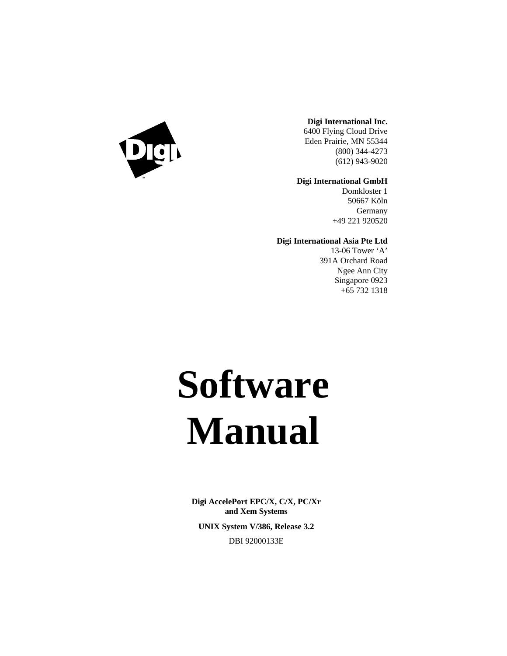

#### **Digi International Inc.**

6400 Flying Cloud Drive Eden Prairie, MN 55344 (800) 344-4273 (612) 943-9020

#### **Digi International GmbH**

Domkloster 1 50667 Köln **Germany** +49 221 920520

#### **Digi International Asia Pte Ltd**

13-06 Tower 'A' 391A Orchard Road Ngee Ann City Singapore 0923 +65 732 1318

# **Software Manual**

**Digi AccelePort EPC/X, C/X, PC/Xr and Xem Systems UNIX System V/386, Release 3.2** DBI 92000133E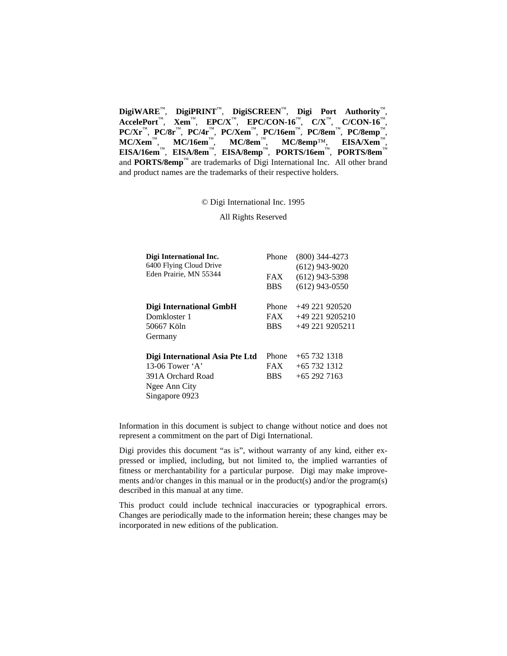**DigiWARE**™, **DigiPRINT**™, **DigiSCREEN**™, **Digi Port Authority**™, **AccelePort**™, **Xem**™, **EPC/X**™, **EPC/CON-16**™, **C/X**™, **C/CON-16**™, **PC/Xr**™, **PC/8r**™, **PC/4r**™, **PC/Xem**™, **PC/16em**™, **PC/8em**™, **PC/8emp**™, **MC/Xem**™, **MC/16em**™, **MC/8em**™, **MC/8emp**™, **EISA/Xem**™, **EISA/16em**™, **EISA/8em**™, **EISA/8emp**™, **PORTS/16em**™, **PORTS/8em**™ and **PORTS/8emp**™ are trademarks of Digi International Inc. All other brand and product names are the trademarks of their respective holders.

© Digi International Inc. 1995

All Rights Reserved

| Digi International Inc.         | Phone      | $(800)$ 344-4273  |
|---------------------------------|------------|-------------------|
| 6400 Flying Cloud Drive         |            | $(612)$ 943-9020  |
| Eden Prairie, MN 55344          | <b>FAX</b> | $(612)$ 943-5398  |
|                                 | <b>BBS</b> | $(612)$ 943-0550  |
| Digi International GmbH         | Phone      | $+49221920520$    |
| Domkloster 1                    | <b>FAX</b> | $+49$ 221 9205210 |
| 50667 Köln                      | <b>BBS</b> | +49 221 9205211   |
| Germany                         |            |                   |
| Digi International Asia Pte Ltd | Phone      | $+65$ 732 1318    |
| 13-06 Tower $\mathbf{A}$        | <b>FAX</b> | $+65$ 732 1312    |
| 391A Orchard Road               | <b>BBS</b> | $+65$ 292 7163    |
| Ngee Ann City                   |            |                   |
| Singapore 0923                  |            |                   |

Information in this document is subject to change without notice and does not represent a commitment on the part of Digi International.

Digi provides this document "as is", without warranty of any kind, either expressed or implied, including, but not limited to, the implied warranties of fitness or merchantability for a particular purpose. Digi may make improvements and/or changes in this manual or in the product(s) and/or the program(s) described in this manual at any time.

This product could include technical inaccuracies or typographical errors. Changes are periodically made to the information herein; these changes may be incorporated in new editions of the publication.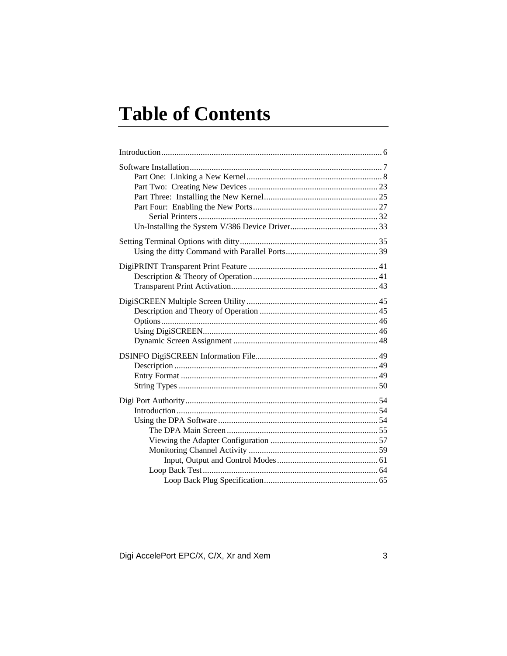# **Table of Contents**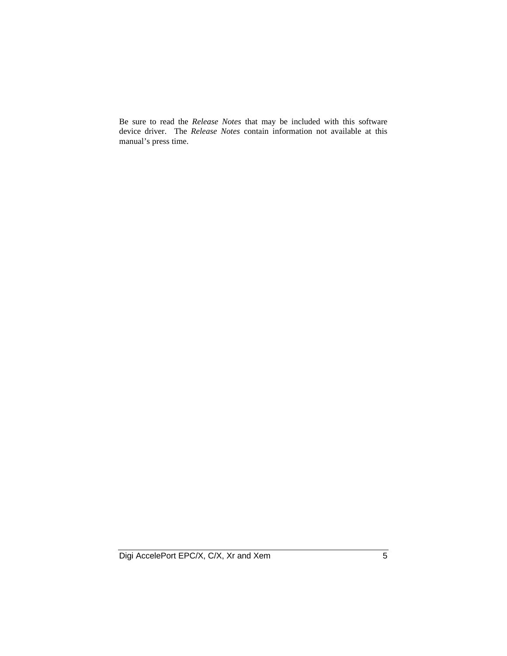Be sure to read the *Release Notes* that may be included with this software device driver. The *Release Notes* contain information not available at this manual's press time.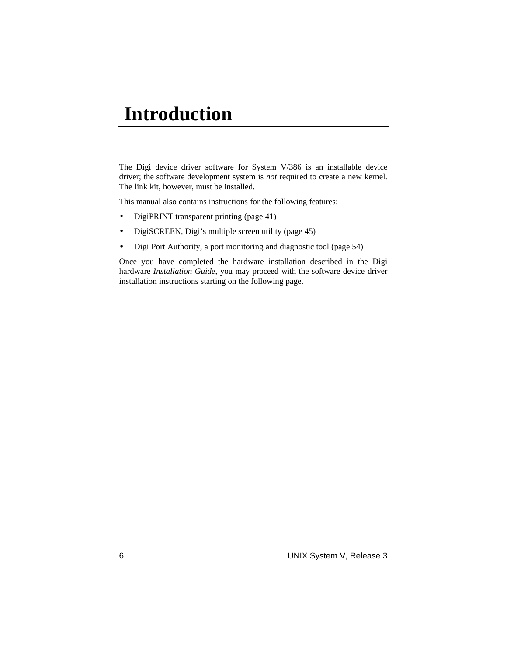## **Introduction**

The Digi device driver software for System V/386 is an installable device driver; the software development system is *not* required to create a new kernel. The link kit, however, must be installed.

This manual also contains instructions for the following features:

- DigiPRINT transparent printing (page 41)
- DigiSCREEN, Digi's multiple screen utility (page 45)
- Digi Port Authority, a port monitoring and diagnostic tool (page 54)

Once you have completed the hardware installation described in the Digi hardware *Installation Guide*, you may proceed with the software device driver installation instructions starting on the following page.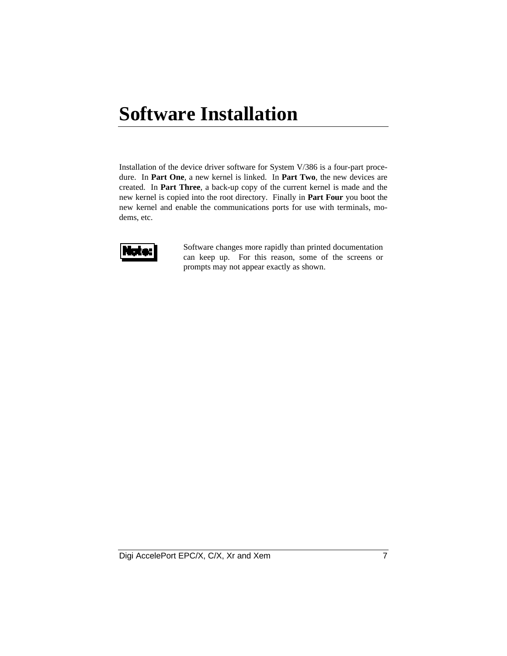# **Software Installation**

Installation of the device driver software for System V/386 is a four-part procedure. In **Part One**, a new kernel is linked. In **Part Two**, the new devices are created. In **Part Three**, a back-up copy of the current kernel is made and the new kernel is copied into the root directory. Finally in **Part Four** you boot the new kernel and enable the communications ports for use with terminals, modems, etc.



Software changes more rapidly than printed documentation can keep up. For this reason, some of the screens or prompts may not appear exactly as shown.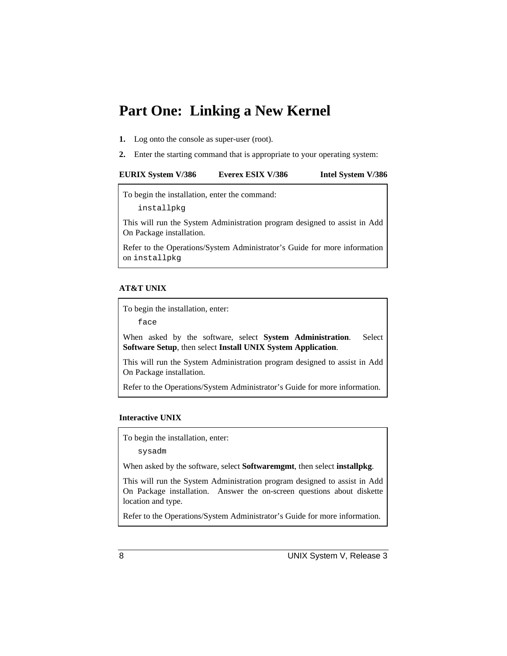## **Part One: Linking a New Kernel**

- **1.** Log onto the console as super-user (root).
- **2.** Enter the starting command that is appropriate to your operating system:

| <b>EURIX System V/386</b> | Everex ESIX V/386 | Intel System V/386 |
|---------------------------|-------------------|--------------------|
|---------------------------|-------------------|--------------------|

To begin the installation, enter the command:

installpkg

This will run the System Administration program designed to assist in Add On Package installation.

Refer to the Operations/System Administrator's Guide for more information on installpkg.

#### **AT&T UNIX**

To begin the installation, enter:

face

When asked by the software, select **System Administration**. Select **Software Setup**, then select **Install UNIX System Application**.

This will run the System Administration program designed to assist in Add On Package installation.

Refer to the Operations/System Administrator's Guide for more information.

#### **Interactive UNIX**

To begin the installation, enter:

sysadm

When asked by the software, select **Softwaremgmt**, then select **installpkg**.

This will run the System Administration program designed to assist in Add On Package installation. Answer the on-screen questions about diskette location and type.

Refer to the Operations/System Administrator's Guide for more information.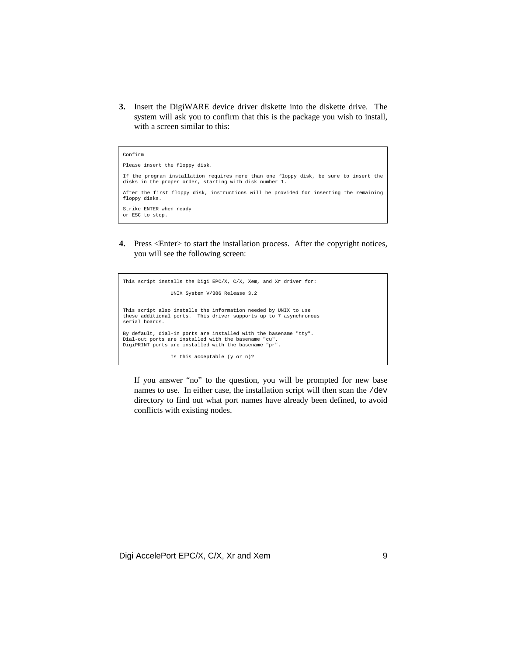**3.** Insert the DigiWARE device driver diskette into the diskette drive. The system will ask you to confirm that this is the package you wish to install, with a screen similar to this:

```
Confirm
Please insert the floppy disk.
If the program installation requires more than one floppy disk, be sure to insert the
disks in the proper order, starting with disk number 1.
After the first floppy disk, instructions will be provided for inserting the remaining
floppy disks.
Strike ENTER when ready
or ESC to stop.
```
**4.** Press <Enter> to start the installation process. After the copyright notices, you will see the following screen:

```
This script installs the Digi EPC/X, C/X, Xem, and Xr driver for:
                   UNIX System V/386 Release 3.2
This script also installs the information needed by UNIX to use
these additional ports. This driver supports up to 7 asynchronous
serial boards.
By default, dial-in ports are installed with the basename "tty".
Dial-out ports are installed with the basename "cu".
DigiPRINT ports are installed with the basename "pr".
                   Is this acceptable (y or n)?
```
If you answer "no" to the question, you will be prompted for new base names to use. In either case, the installation script will then scan the /dev directory to find out what port names have already been defined, to avoid conflicts with existing nodes.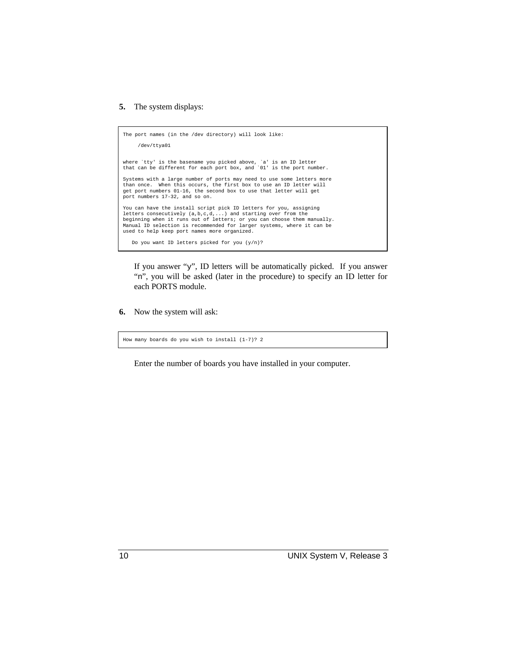#### **5.** The system displays:

```
The port names (in the /dev directory) will look like:
      /dev/ttya01
where `tty' is the basename you picked above, `a' is an ID letter
that can be different for each port box, and '01' is the port number.
Systems with a large number of ports may need to use some letters more
than once. When this occurs, the first box to use an ID letter will
get port numbers 01-16, the second box to use that letter will get
port numbers 17-32, and so on.
You can have the install script pick ID letters for you, assigning
letters consecutively (a,b,c,d,...) and starting over from the<br>beginning when it runs out of letters; or you can choose them manually.<br>Manual ID selection is recommended for larger systems, where it can be
used to help keep port names more organized.
     Do you want ID letters picked for you (y/n)?
```
If you answer "y", ID letters will be automatically picked. If you answer "n", you will be asked (later in the procedure) to specify an ID letter for each PORTS module.

**6.** Now the system will ask:

```
How many boards do you wish to install (1-7)? 2
```
Enter the number of boards you have installed in your computer.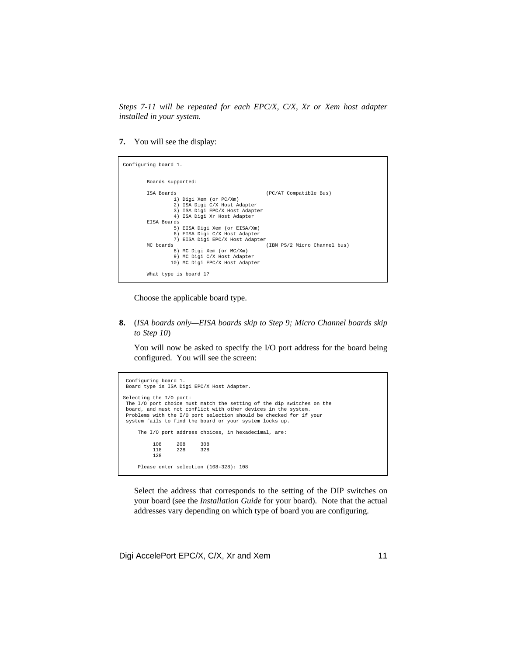*Steps 7-11 will be repeated for each EPC/X, C/X, Xr or Xem host adapter installed in your system.*

**7.** You will see the display:

```
Configuring board 1.
         Boards supported:
         ISA Boards (PC/AT Compatible Bus)
                  1) Digi Xem (or PC/Xm)
                  2) ISA Digi C/X Host Adapter
                  3) ISA Digi EPC/X Host Adapter
                   4) ISA Digi Xr Host Adapter
         EISA Boards
                  5) EISA Digi Xem (or EISA/Xm)
                   6) EISA Digi C/X Host Adapter
         7) EISA Digi EPC/X Host Adapter
                                                  .<br>(IBM PS/2 Micro Channel bus)
 8) MC Digi Xem (or MC/Xm)
 9) MC Digi C/X Host Adapter
 10) MC Digi EPC/X Host Adapter
         What type is board 1?
```
Choose the applicable board type.

**8.** (*ISA boards only—EISA boards skip to Step 9; Micro Channel boards skip to Step 10*)

You will now be asked to specify the I/O port address for the board being configured. You will see the screen:

```
 Configuring board 1.
 Board type is ISA Digi EPC/X Host Adapter.
Selecting the I/O port:
 The I/O port choice must match the setting of the dip switches on the
 board, and must not conflict with other devices in the system.
 Problems with the I/O port selection should be checked for if your
 system fails to find the board or your system locks up.
    The I/O port address choices, in hexadecimal, are:
         108 208 308
         118\,128
    Please enter selection (108-328): 108
```
Select the address that corresponds to the setting of the DIP switches on your board (see the *Installation Guide* for your board). Note that the actual addresses vary depending on which type of board you are configuring.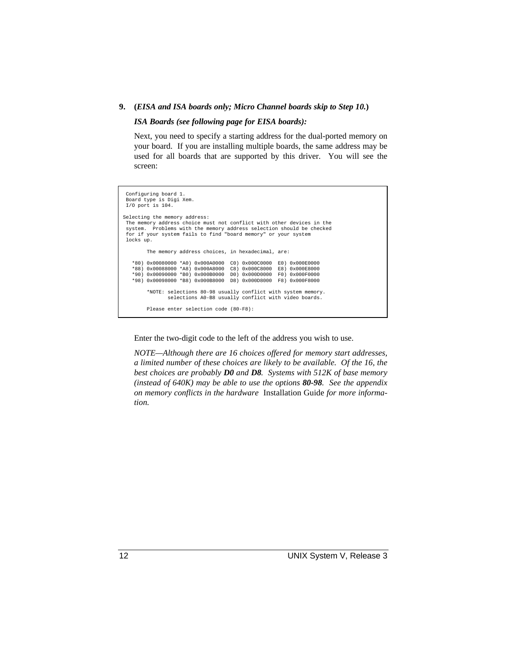#### **9. (***EISA and ISA boards only; Micro Channel boards skip to Step 10.***)**

#### *ISA Boards (see following page for EISA boards):*

Next, you need to specify a starting address for the dual-ported memory on your board. If you are installing multiple boards, the same address may be used for all boards that are supported by this driver. You will see the screen:

```
 Configuring board 1.
 Board type is Digi Xem.
 I/O port is 104.
Selecting the memory address:
 The memory address choice must not conflict with other devices in the
 system. Problems with the memory address selection should be checked
 for if your system fails to find "board memory" or your system
 locks up.
            The memory address choices, in hexadecimal, are:
     *80) 0x00080000 *A0) 0x000A0000 C0) 0x000C0000 E0) 0x000E0000
 *88) 0x00088000 *A8) 0x000A8000 C8) 0x000C8000 E8) 0x000E8000
 *90) 0x00090000 *B0) 0x000B0000 D0) 0x000D0000 F0) 0x000F0000
 *98) 0x00098000 *B8) 0x000B8000 D8) 0x000D8000 F8) 0x000F8000
 *NOTE: selections 80-98 usually conflict with system memory.
 selections A0-B8 usually conflict with video boards.
            Please enter selection code (80-F8):
```
Enter the two-digit code to the left of the address you wish to use.

*NOTE—Although there are 16 choices offered for memory start addresses, a limited number of these choices are likely to be available. Of the 16, the best choices are probably D0 and D8. Systems with 512K of base memory (instead of 640K) may be able to use the options 80-98. See the appendix on memory conflicts in the hardware* Installation Guide *for more information.*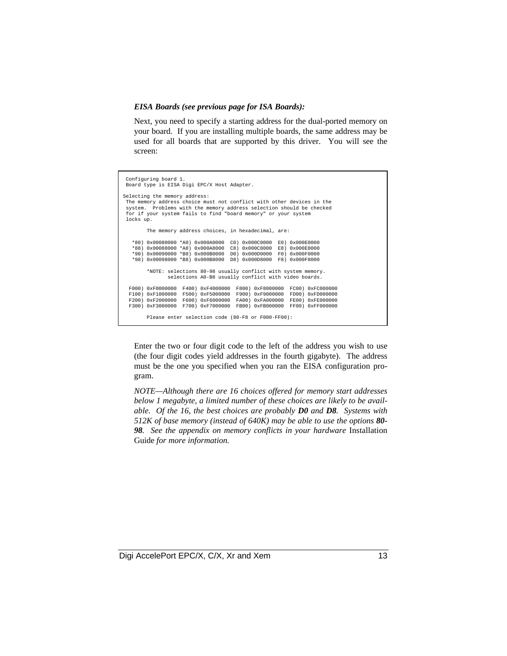#### *EISA Boards (see previous page for ISA Boards):*

Next, you need to specify a starting address for the dual-ported memory on your board. If you are installing multiple boards, the same address may be used for all boards that are supported by this driver. You will see the screen:

 Configuring board 1. Board type is EISA Digi EPC/X Host Adapter. Selecting the memory address: The memory address choice must not conflict with other devices in the system. Problems with the memory address selection should be checked for if your system fails to find "board memory" or your system locks up. The memory address choices, in hexadecimal, are: \*80) 0x00080000 \*A0) 0x000A0000 C0) 0x000C0000 E0) 0x000E0000 \*88) 0x00088000 \*A8) 0x000A8000 C8) 0x000C8000 E8) 0x000E8000 \*90) 0x00090000 \*B0) 0x000B0000 D0) 0x000D0000 F0) 0x000F0000 \*98) 0x00098000 \*B8) 0x000B8000 D8) 0x000D8000 F8) 0x000F8000 \*NOTE: selections 80-98 usually conflict with system memory. selections A0-B8 usually conflict with video boards. F000) 0xF0000000 F400) 0xF4000000 F800) 0xF8000000 FC00) 0xFC000000 F100) 0xF1000000 F500) 0xF5000000 F900) 0xF9000000 FD00) 0xFD000000 F200) 0xF2000000 F600) 0xF6000000 FA00) 0xFA000000 FE00) 0xFE000000 F300) 0xF3000000 F700) 0xF7000000 FB00) 0xFB000000 FF00) 0xFF000000 Please enter selection code (80-F8 or F000-FF00):

Enter the two or four digit code to the left of the address you wish to use (the four digit codes yield addresses in the fourth gigabyte). The address must be the one you specified when you ran the EISA configuration program.

*NOTE—Although there are 16 choices offered for memory start addresses below 1 megabyte, a limited number of these choices are likely to be available. Of the 16, the best choices are probably D0 and D8. Systems with 512K of base memory (instead of 640K) may be able to use the options 80- 98. See the appendix on memory conflicts in your hardware* Installation Guide *for more information.*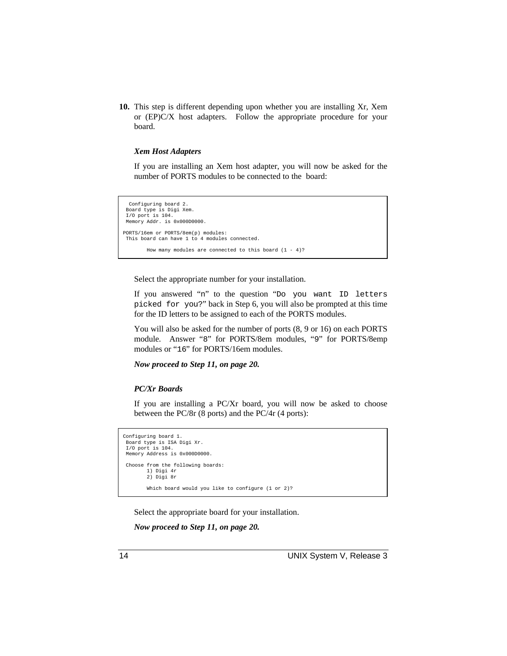**10.** This step is different depending upon whether you are installing Xr, Xem or (EP)C/X host adapters. Follow the appropriate procedure for your board.

#### *Xem Host Adapters*

If you are installing an Xem host adapter, you will now be asked for the number of PORTS modules to be connected to the board:

```
 Configuring board 2.
 Board type is Digi Xem.
 I/O port is 104.
 Memory Addr. is 0x000D0000.
PORTS/16em or PORTS/8em(p) modules:
 This board can have 1 to 4 modules connected.
         How many modules are connected to this board (1 - 4)?
```
Select the appropriate number for your installation.

If you answered "n" to the question "Do you want ID letters picked for you?" back in Step 6, you will also be prompted at this time for the ID letters to be assigned to each of the PORTS modules.

You will also be asked for the number of ports (8, 9 or 16) on each PORTS module. Answer "8" for PORTS/8em modules, "9" for PORTS/8emp modules or "16" for PORTS/16em modules.

*Now proceed to Step 11, on page 20.*

#### *PC/Xr Boards*

If you are installing a PC/Xr board, you will now be asked to choose between the PC/8r (8 ports) and the PC/4r (4 ports):

```
Configuring board 1.
 Board type is ISA Digi Xr.
 I/O port is 104.
 Memory Address is 0x000D0000.
 Choose from the following boards:
          1) Digi 4r
          2) Digi 8r
         Which board would you like to configure (1 or 2)?
```
Select the appropriate board for your installation.

*Now proceed to Step 11, on page 20.*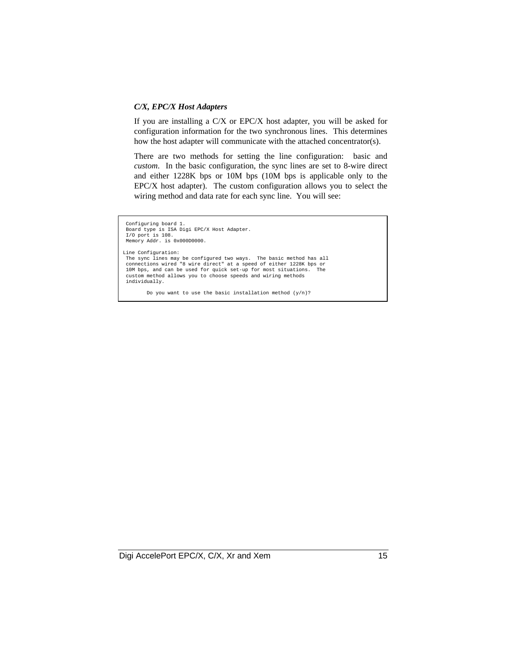#### *C/X, EPC/X Host Adapters*

If you are installing a C/X or EPC/X host adapter, you will be asked for configuration information for the two synchronous lines. This determines how the host adapter will communicate with the attached concentrator(s).

There are two methods for setting the line configuration: basic and *custom*. In the basic configuration, the sync lines are set to 8-wire direct and either 1228K bps or 10M bps (10M bps is applicable only to the EPC/X host adapter). The custom configuration allows you to select the wiring method and data rate for each sync line. You will see:

```
 Configuring board 1.
   Board type is ISA Digi EPC/X Host Adapter.
  I/O port is 108.
  Memory Addr. is 0x000D0000.
Line Configuration:
 The sync lines may be configured two ways. The basic method has all connections wired "8 wire direct" at a speed of either 1228K bps or 10M bps, and can be used for quick set-up for most situations. The custom method allow
  individually.
```
Do you want to use the basic installation method (y/n)?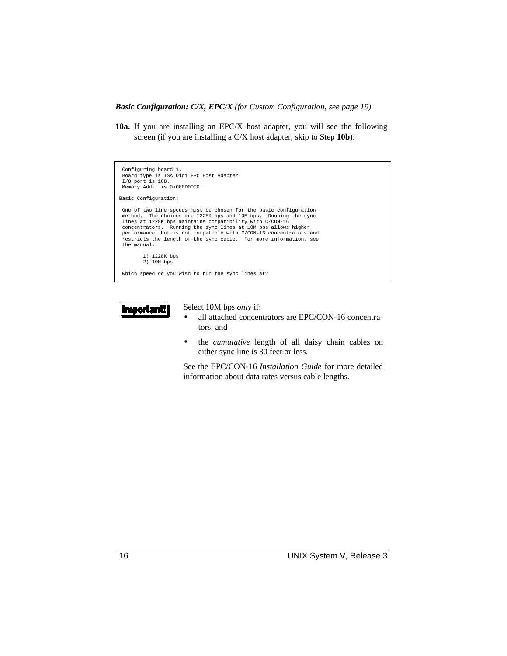*Basic Configuration: C/X, EPC/X (for Custom Configuration, see page 19)*

**10a.** If you are installing an EPC/X host adapter, you will see the following screen (if you are installing a C/X host adapter, skip to Step **10b**):





Select 10M bps *only* if:

- all attached concentrators are EPC/CON-16 concentrators, and
- the *cumulative* length of all daisy chain cables on either sync line is 30 feet or less.

See the EPC/CON-16 *Installation Guide* for more detailed information about data rates versus cable lengths.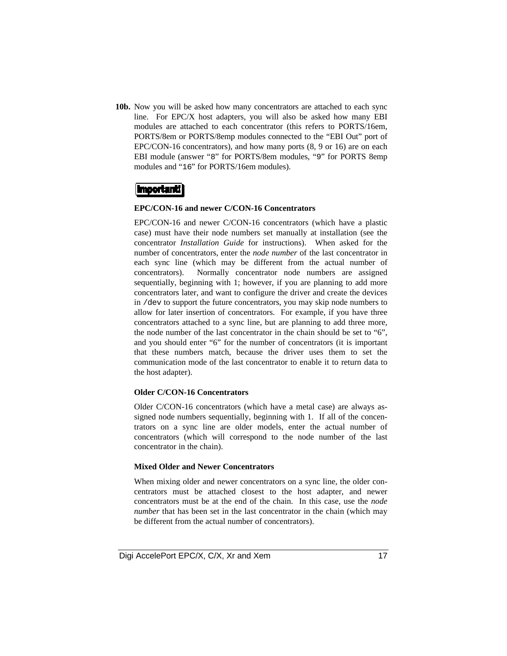**10b.** Now you will be asked how many concentrators are attached to each sync line. For EPC/X host adapters, you will also be asked how many EBI modules are attached to each concentrator (this refers to PORTS/16em, PORTS/8em or PORTS/8emp modules connected to the "EBI Out" port of EPC/CON-16 concentrators), and how many ports (8, 9 or 16) are on each EBI module (answer "8" for PORTS/8em modules, "9" for PORTS 8emp modules and "16" for PORTS/16em modules).

#### |Important!|

#### **EPC/CON-16 and newer C/CON-16 Concentrators**

EPC/CON-16 and newer C/CON-16 concentrators (which have a plastic case) must have their node numbers set manually at installation (see the concentrator *Installation Guide* for instructions). When asked for the number of concentrators, enter the *node number* of the last concentrator in each sync line (which may be different from the actual number of concentrators). Normally concentrator node numbers are assigned sequentially, beginning with 1; however, if you are planning to add more concentrators later, and want to configure the driver and create the devices in /dev to support the future concentrators, you may skip node numbers to allow for later insertion of concentrators. For example, if you have three concentrators attached to a sync line, but are planning to add three more, the node number of the last concentrator in the chain should be set to "6", and you should enter "6" for the number of concentrators (it is important that these numbers match, because the driver uses them to set the communication mode of the last concentrator to enable it to return data to the host adapter).

#### **Older C/CON-16 Concentrators**

Older C/CON-16 concentrators (which have a metal case) are always assigned node numbers sequentially, beginning with 1. If all of the concentrators on a sync line are older models, enter the actual number of concentrators (which will correspond to the node number of the last concentrator in the chain).

#### **Mixed Older and Newer Concentrators**

When mixing older and newer concentrators on a sync line, the older concentrators must be attached closest to the host adapter, and newer concentrators must be at the end of the chain. In this case, use the *node number* that has been set in the last concentrator in the chain (which may be different from the actual number of concentrators).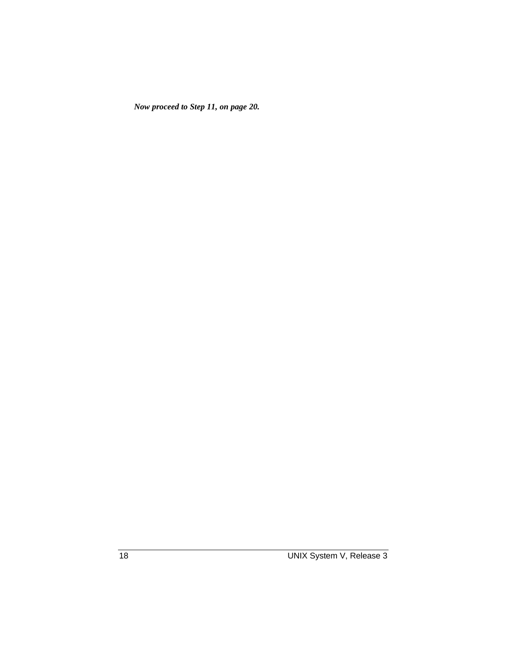*Now proceed to Step 11, on page 20.*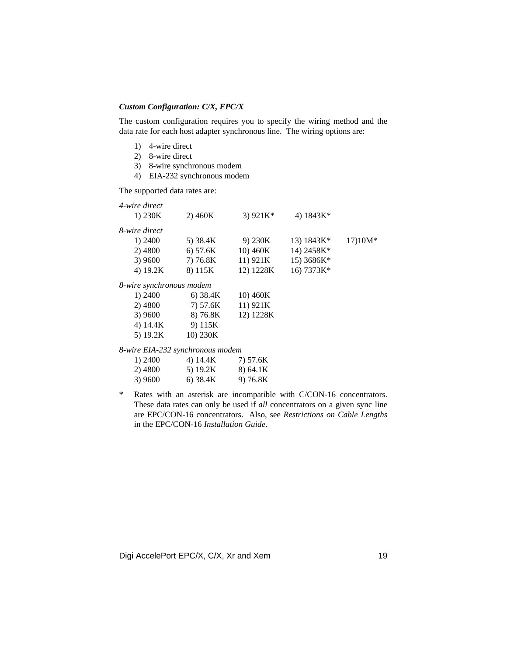#### *Custom Configuration: C/X, EPC/X*

The custom configuration requires you to specify the wiring method and the data rate for each host adapter synchronous line. The wiring options are:

- 1) 4-wire direct
- 2) 8-wire direct
- 3) 8-wire synchronous modem
- 4) EIA-232 synchronous modem

The supported data rates are:

| 4-wire direct                    |            |            |              |          |
|----------------------------------|------------|------------|--------------|----------|
| 1) $230K$                        | 2) 460K    | 3) $921K*$ | 4) $1843K*$  |          |
| 8-wire direct                    |            |            |              |          |
| 1) 2400                          | 5) 38.4K   | 9) 230K    | 13) $1843K*$ | $1710M*$ |
| 2) 4800                          | 6) 57.6K   | 10) 460K   | 14) 2458K*   |          |
| 3) 9600                          | 7) 76.8K   | 11) 921K   | 15) 3686K*   |          |
| 4) 19.2K                         | 8) 115K    | 12) 1228K  | 16) 7373K*   |          |
| 8-wire synchronous modem         |            |            |              |          |
| 1) 2400                          | $6)$ 38.4K | 10) 460K   |              |          |
| 2) 4800                          | 7) 57.6K   | 11) 921K   |              |          |
| 3) 9600                          | 8) 76.8K   | 12) 1228K  |              |          |
| 4) 14.4K                         | 9) 115K    |            |              |          |
| 5) 19.2K                         | 10) 230K   |            |              |          |
| 8-wire EIA-232 synchronous modem |            |            |              |          |

| 1) 2400 | 4) 14.4K | 7) 57.6K |
|---------|----------|----------|
| 2) 4800 | 5) 19.2K | 8) 64.1K |
| 3) 9600 | 6) 38.4K | 9) 76.8K |

\* Rates with an asterisk are incompatible with C/CON-16 concentrators. These data rates can only be used if *all* concentrators on a given sync line are EPC/CON-16 concentrators. Also, see *Restrictions on Cable Lengths* in the EPC/CON-16 *Installation Guide*.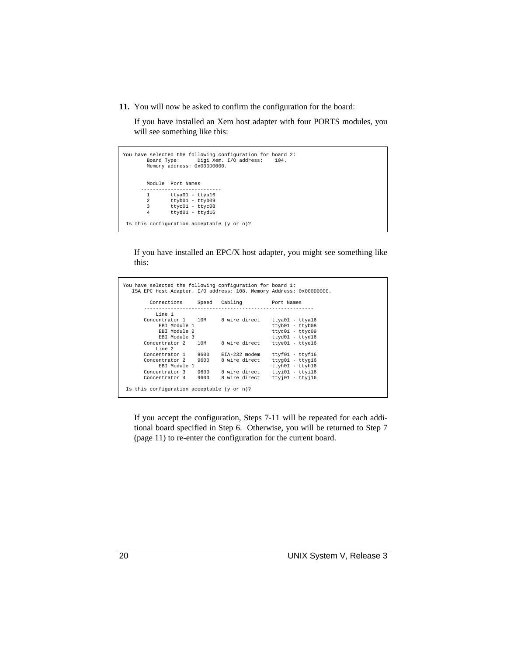**11.** You will now be asked to confirm the configuration for the board:

If you have installed an Xem host adapter with four PORTS modules, you will see something like this:

```
You have selected the following configuration for board 2:
 Board Type: Digi Xem. I/O address: 104.
 Memory address: 0x000D0000.
          Module Port Names
        ---------------------------
         1 ttya01 - ttya16<br>2 ttyb01 - ttyb09
 2 ttyb01 - ttyb09
 3 ttyc01 - ttyc08
 4 ttyd01 - ttyd16
 Is this configuration acceptable (y or n)?
```
If you have installed an EPC/X host adapter, you might see something like this:

```
You have selected the following configuration for board 1:
 ISA EPC Host Adapter. I/O address: 108. Memory Address: 0x000D0000.
            Connections Speed Cabling Port Names
 ---------------------------------------------------------
          Line 1<br>Concentrator 1
                  entrator 1 10M 8 wire direct ttya01 - ttya16<br>EBI Module 1 ttyb01 - ttyb01 - ttyb03<br>EBI Module 2 - ttyc01 - ttyc09
                                                                                  ttyb01 - ttyb08<br>ttyb01 - ttyb08<br>ttyc01 - ttyc09
 EBI Module 2 ttyc01 - ttyc09
 EBI Module 3 ttyd01 - ttyd16
 Concentrator 2 10M 8 wire direct ttye01 - ttye16
Line 2<br>Concentrator 1 9600 EIA-232 modem ttyf01 - ttyf16<br>Concentrator 2 9600 8 wire direct ttyg01 - ttyh16<br>EBI Module 1 ttyh01 - ttyh16
                                       concentrator 1 19600<br>19600 8 wire direct ttyi01 - ttyi16<br>19600 8 wire direct ttyj01 - ttyj16
          Concentrator 3 9600<br>Concentrator 4 9600
 Is this configuration acceptable (y or n)?
```
If you accept the configuration, Steps 7-11 will be repeated for each additional board specified in Step 6. Otherwise, you will be returned to Step 7 (page 11) to re-enter the configuration for the current board.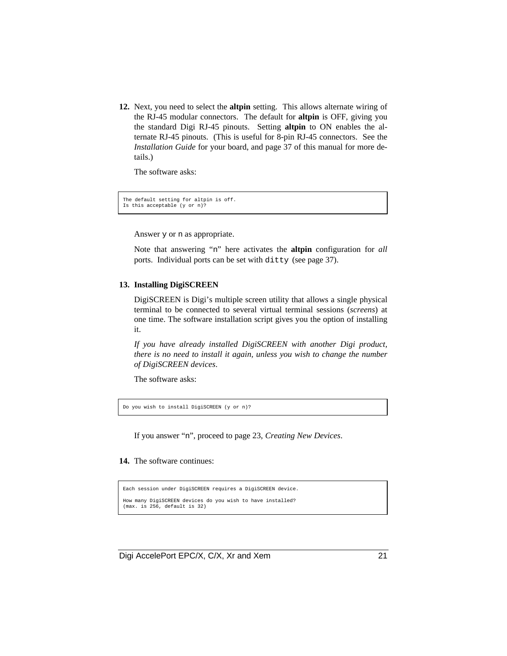**12.** Next, you need to select the **altpin** setting. This allows alternate wiring of the RJ-45 modular connectors. The default for **altpin** is OFF, giving you the standard Digi RJ-45 pinouts. Setting **altpin** to ON enables the alternate RJ-45 pinouts. (This is useful for 8-pin RJ-45 connectors. See the *Installation Guide* for your board, and page 37 of this manual for more details.)

The software asks:

The default setting for altpin is off. Is this acceptable (y or n)?

Answer y or n as appropriate.

Note that answering "n" here activates the **altpin** configuration for *all* ports. Individual ports can be set with ditty (see page 37).

#### **13. Installing DigiSCREEN**

DigiSCREEN is Digi's multiple screen utility that allows a single physical terminal to be connected to several virtual terminal sessions (*screens*) at one time. The software installation script gives you the option of installing it.

*If you have already installed DigiSCREEN with another Digi product, there is no need to install it again, unless you wish to change the number of DigiSCREEN devices*.

The software asks:

Do you wish to install DigiSCREEN (y or n)?

If you answer "n", proceed to page 23, *Creating New Devices*.

#### **14.** The software continues:

```
Each session under DigiSCREEN requires a DigiSCREEN device.
How many DigiSCREEN devices do you wish to have installed?
(max. is 256, default is 32)
```
Digi AccelePort EPC/X, C/X, Xr and Xem 21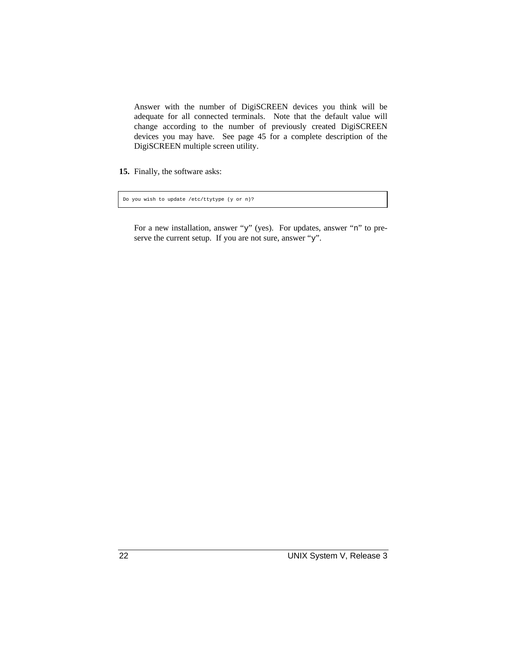Answer with the number of DigiSCREEN devices you think will be adequate for all connected terminals. Note that the default value will change according to the number of previously created DigiSCREEN devices you may have. See page 45 for a complete description of the DigiSCREEN multiple screen utility.

**15.** Finally, the software asks:

Do you wish to update /etc/ttytype (y or n)?

For a new installation, answer "y" (yes). For updates, answer "n" to preserve the current setup. If you are not sure, answer "y".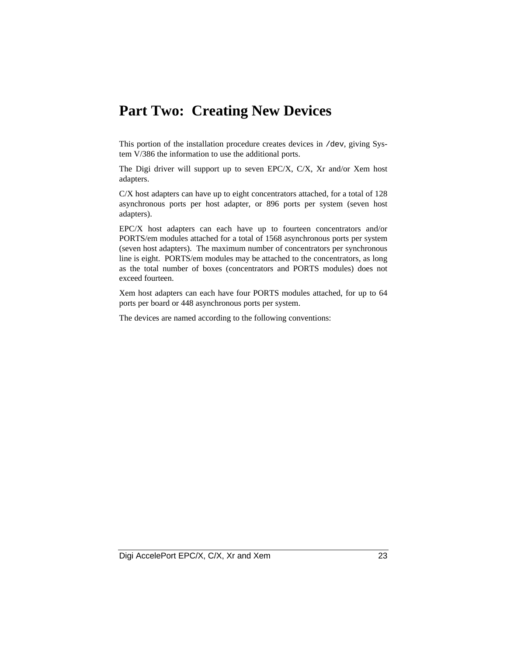## **Part Two: Creating New Devices**

This portion of the installation procedure creates devices in /dev, giving System V/386 the information to use the additional ports.

The Digi driver will support up to seven EPC/X, C/X, Xr and/or Xem host adapters.

C/X host adapters can have up to eight concentrators attached, for a total of 128 asynchronous ports per host adapter, or 896 ports per system (seven host adapters).

EPC/X host adapters can each have up to fourteen concentrators and/or PORTS/em modules attached for a total of 1568 asynchronous ports per system (seven host adapters). The maximum number of concentrators per synchronous line is eight. PORTS/em modules may be attached to the concentrators, as long as the total number of boxes (concentrators and PORTS modules) does not exceed fourteen.

Xem host adapters can each have four PORTS modules attached, for up to 64 ports per board or 448 asynchronous ports per system.

The devices are named according to the following conventions: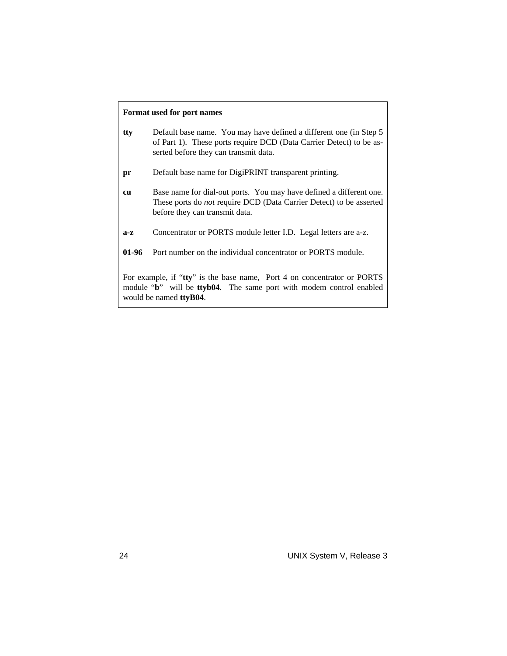#### **Format used for port names**

| tty     | Default base name. You may have defined a different one (in Step 5)<br>of Part 1). These ports require DCD (Data Carrier Detect) to be as-<br>serted before they can transmit data. |
|---------|-------------------------------------------------------------------------------------------------------------------------------------------------------------------------------------|
| pr      | Default base name for DigiPRINT transparent printing.                                                                                                                               |
| cu      | Base name for dial-out ports. You may have defined a different one.<br>These ports do <i>not</i> require DCD (Data Carrier Detect) to be asserted<br>before they can transmit data. |
| $a-z$   | Concentrator or PORTS module letter I.D. Legal letters are a-z.                                                                                                                     |
| $01-96$ | Port number on the individual concentrator or PORTS module.                                                                                                                         |
|         | For example, if "tty" is the base name, Port 4 on concentrator or PORTS<br>module "b" will be ttyb04. The same port with modem control enabled<br>would be named <b>ttyB04</b> .    |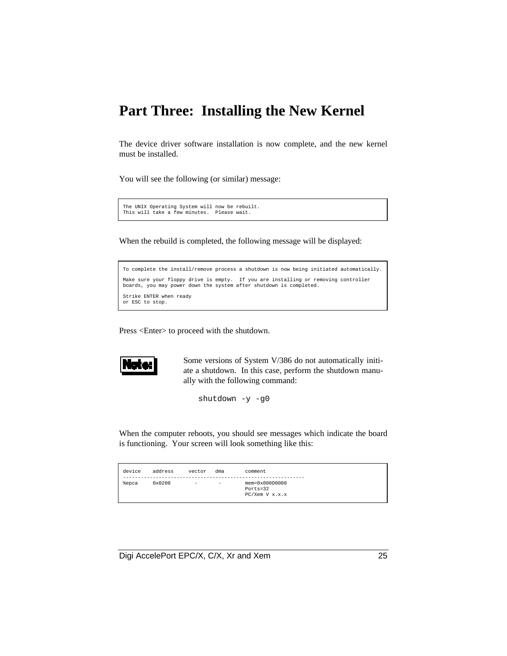## **Part Three: Installing the New Kernel**

The device driver software installation is now complete, and the new kernel must be installed.

You will see the following (or similar) message:

```
The UNIX Operating System will now be rebuilt.
This will take a few minutes. Please wait.
```
When the rebuild is completed, the following message will be displayed:

```
To complete the install/remove process a shutdown is now being initiated automatically.
Make sure your floppy drive is empty. If you are installing or removing controller
boards, you may power down the system after shutdown is completed.
Strike ENTER when ready
or ESC to stop.
```
Press <Enter> to proceed with the shutdown.



Some versions of System V/386 do not automatically initiate a shutdown. In this case, perform the shutdown manually with the following command:

shutdown -y -g0

When the computer reboots, you should see messages which indicate the board is functioning. Your screen will look something like this:

| device | address | vector | dma               | comment                                                  |
|--------|---------|--------|-------------------|----------------------------------------------------------|
| %epca  | 0x0208  | $\sim$ | $\qquad \qquad -$ | $men = 0x000D0000$<br>$Ports = 32$<br>$PC/Xem$ V $x.x.x$ |

Digi AccelePort EPC/X, C/X, Xr and Xem 25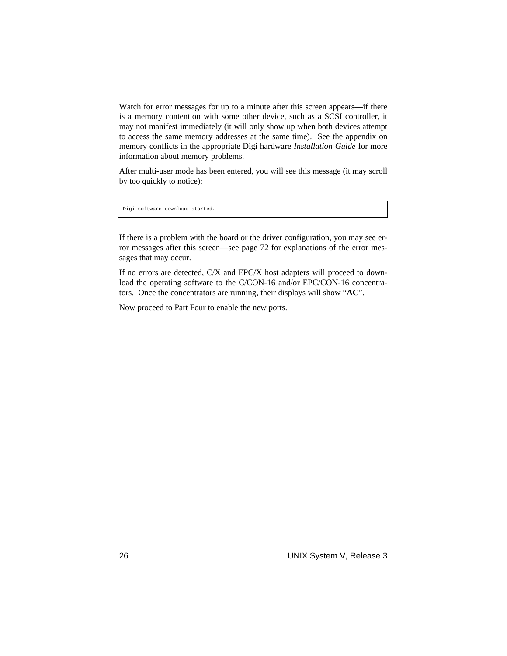Watch for error messages for up to a minute after this screen appears—if there is a memory contention with some other device, such as a SCSI controller, it may not manifest immediately (it will only show up when both devices attempt to access the same memory addresses at the same time). See the appendix on memory conflicts in the appropriate Digi hardware *Installation Guide* for more information about memory problems.

After multi-user mode has been entered, you will see this message (it may scroll by too quickly to notice):

Digi software download started.

If there is a problem with the board or the driver configuration, you may see error messages after this screen—see page 72 for explanations of the error messages that may occur.

If no errors are detected, C/X and EPC/X host adapters will proceed to download the operating software to the C/CON-16 and/or EPC/CON-16 concentrators. Once the concentrators are running, their displays will show "**AC**".

Now proceed to Part Four to enable the new ports.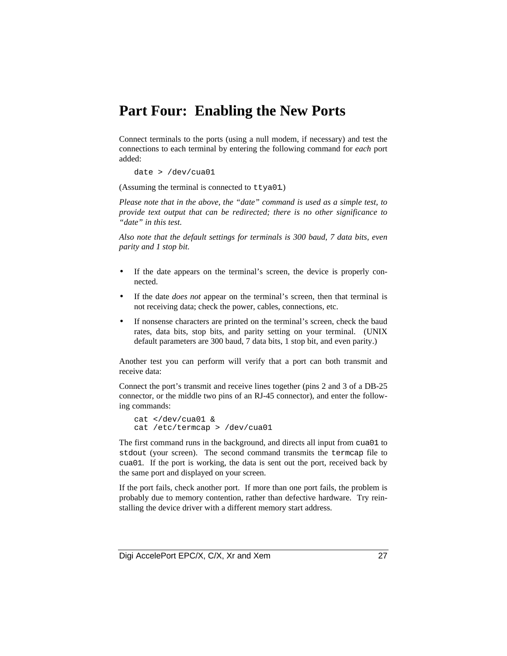## **Part Four: Enabling the New Ports**

Connect terminals to the ports (using a null modem, if necessary) and test the connections to each terminal by entering the following command for *each* port added:

date > /dev/cua01

(Assuming the terminal is connected to ttya01.)

*Please note that in the above, the "date" command is used as a simple test, to provide text output that can be redirected; there is no other significance to "date" in this test.*

*Also note that the default settings for terminals is 300 baud, 7 data bits, even parity and 1 stop bit.*

- If the date appears on the terminal's screen, the device is properly connected.
- If the date *does not* appear on the terminal's screen, then that terminal is not receiving data; check the power, cables, connections, etc.
- If nonsense characters are printed on the terminal's screen, check the baud rates, data bits, stop bits, and parity setting on your terminal. (UNIX default parameters are 300 baud, 7 data bits, 1 stop bit, and even parity.)

Another test you can perform will verify that a port can both transmit and receive data:

Connect the port's transmit and receive lines together (pins 2 and 3 of a DB-25 connector, or the middle two pins of an RJ-45 connector), and enter the following commands:

```
cat </dev/cua01 &
cat /etc/termcap > /dev/cua01
```
The first command runs in the background, and directs all input from cua01 to stdout (your screen). The second command transmits the termcap file to cua01. If the port is working, the data is sent out the port, received back by the same port and displayed on your screen.

If the port fails, check another port. If more than one port fails, the problem is probably due to memory contention, rather than defective hardware. Try reinstalling the device driver with a different memory start address.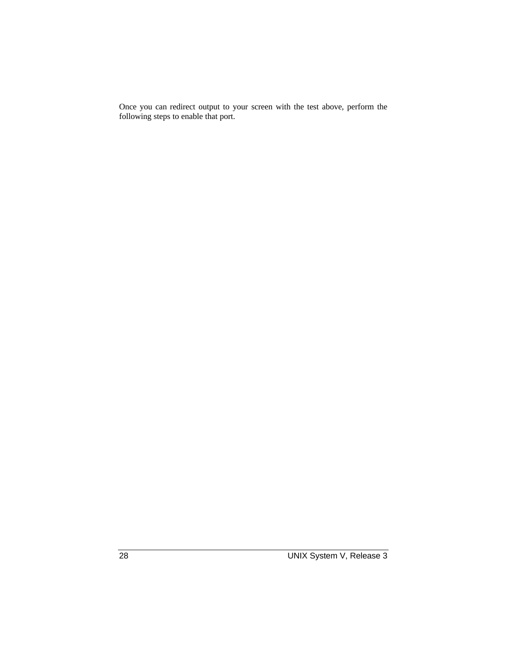Once you can redirect output to your screen with the test above, perform the following steps to enable that port.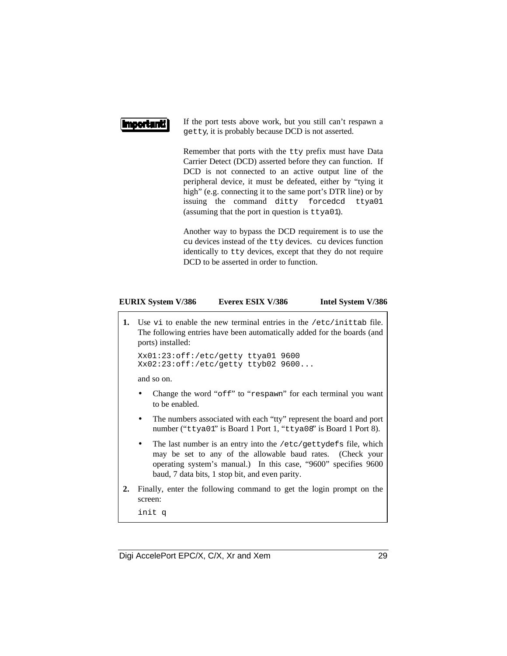#### **Importanti**

If the port tests above work, but you still can't respawn a getty, it is probably because DCD is not asserted.

Remember that ports with the tty prefix must have Data Carrier Detect (DCD) asserted before they can function. If DCD is not connected to an active output line of the peripheral device, it must be defeated, either by "tying it high" (e.g. connecting it to the same port's DTR line) or by issuing the command ditty forcedcd ttya01 (assuming that the port in question is ttya01).

Another way to bypass the DCD requirement is to use the cu devices instead of the tty devices. cu devices function identically to tty devices, except that they do not require DCD to be asserted in order to function.

#### **EURIX System V/386 Everex ESIX V/386 Intel System V/386**

**1.** Use vi to enable the new terminal entries in the /etc/inittab file. The following entries have been automatically added for the boards (and ports) installed:

```
Xx01:23:off:/etc/getty ttya01 9600
Xx02:23:off:/etc/getty ttyb02 9600...
```
and so on.

- Change the word "off" to "respawn" for each terminal you want to be enabled.
- The numbers associated with each "tty" represent the board and port number ("ttya01" is Board 1 Port 1, "ttya08" is Board 1 Port 8).
- The last number is an entry into the /etc/gettydefs file, which may be set to any of the allowable baud rates. (Check your operating system's manual.) In this case, "9600" specifies 9600 baud, 7 data bits, 1 stop bit, and even parity.
- **2.** Finally, enter the following command to get the login prompt on the screen:

init q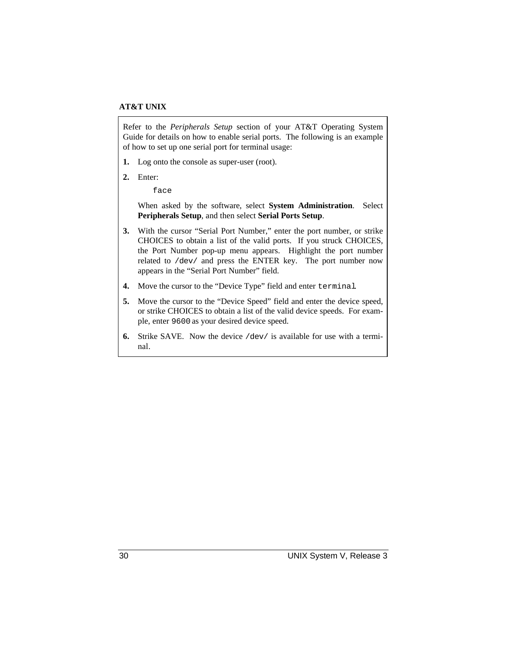#### **AT&T UNIX**

Refer to the *Peripherals Setup* section of your AT&T Operating System Guide for details on how to enable serial ports. The following is an example of how to set up one serial port for terminal usage:

- **1.** Log onto the console as super-user (root).
- **2.** Enter:

face

When asked by the software, select **System Administration**. Select **Peripherals Setup**, and then select **Serial Ports Setup**.

- **3.** With the cursor "Serial Port Number," enter the port number, or strike CHOICES to obtain a list of the valid ports. If you struck CHOICES, the Port Number pop-up menu appears. Highlight the port number related to /dev/ and press the ENTER key. The port number now appears in the "Serial Port Number" field.
- **4.** Move the cursor to the "Device Type" field and enter terminal.
- **5.** Move the cursor to the "Device Speed" field and enter the device speed, or strike CHOICES to obtain a list of the valid device speeds. For example, enter 9600 as your desired device speed.
- **6.** Strike SAVE. Now the device /dev/ is available for use with a terminal.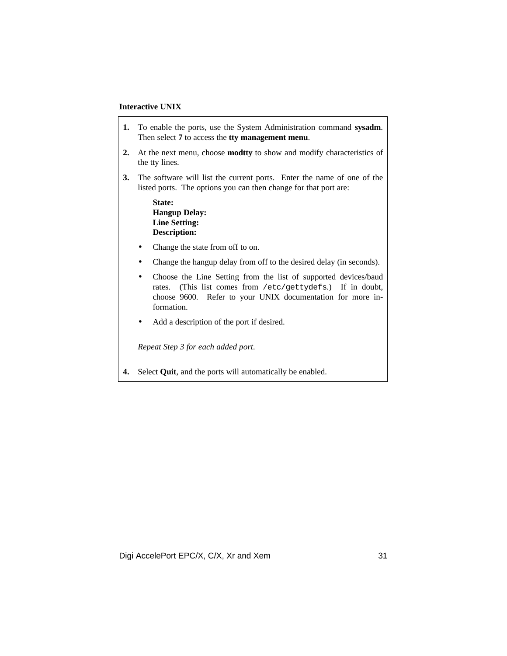#### **Interactive UNIX**

- **1.** To enable the ports, use the System Administration command **sysadm**. Then select **7** to access the **tty management menu**.
- **2.** At the next menu, choose **modtty** to show and modify characteristics of the tty lines.
- **3.** The software will list the current ports. Enter the name of one of the listed ports. The options you can then change for that port are:

#### **State: Hangup Delay: Line Setting: Description:**

- Change the state from off to on.
- Change the hangup delay from off to the desired delay (in seconds).
- Choose the Line Setting from the list of supported devices/baud rates. (This list comes from /etc/gettydefs.) If in doubt, choose 9600. Refer to your UNIX documentation for more information.
- Add a description of the port if desired.

*Repeat Step 3 for each added port.*

**4.** Select **Quit**, and the ports will automatically be enabled.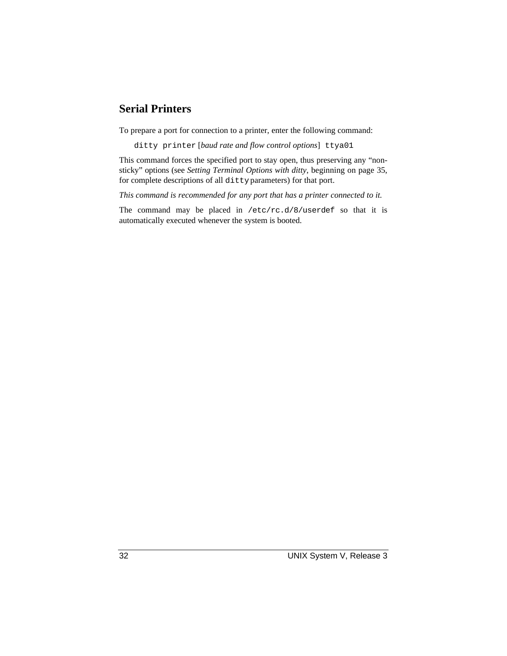#### **Serial Printers**

To prepare a port for connection to a printer, enter the following command:

ditty printer [*baud rate and flow control options*] ttya01

This command forces the specified port to stay open, thus preserving any "nonsticky" options (see *Setting Terminal Options with ditty*, beginning on page 35, for complete descriptions of all ditty parameters) for that port.

*This command is recommended for any port that has a printer connected to it.*

The command may be placed in /etc/rc.d/8/userdef so that it is automatically executed whenever the system is booted.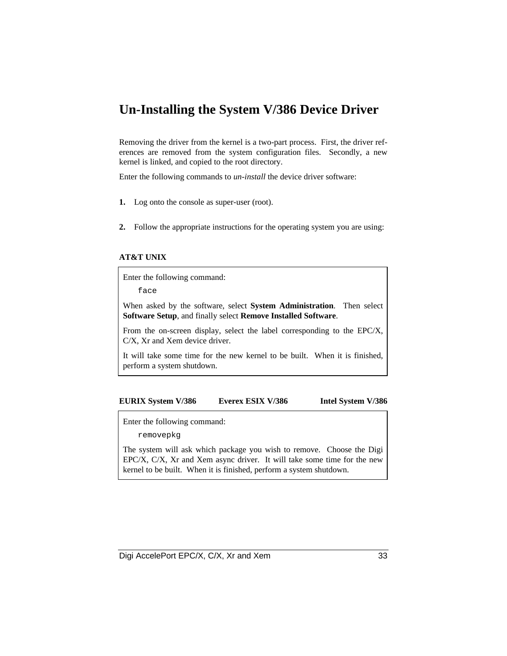### **Un-Installing the System V/386 Device Driver**

Removing the driver from the kernel is a two-part process. First, the driver references are removed from the system configuration files. Secondly, a new kernel is linked, and copied to the root directory.

Enter the following commands to *un-install* the device driver software:

- **1.** Log onto the console as super-user (root).
- **2.** Follow the appropriate instructions for the operating system you are using:

#### **AT&T UNIX**

Enter the following command:

face

When asked by the software, select **System Administration**. Then select **Software Setup**, and finally select **Remove Installed Software**.

From the on-screen display, select the label corresponding to the EPC/X, C/X, Xr and Xem device driver.

It will take some time for the new kernel to be built. When it is finished, perform a system shutdown.

#### **EURIX System V/386 Everex ESIX V/386 Intel System V/386**

Enter the following command:

removepkg

The system will ask which package you wish to remove. Choose the Digi EPC/X, C/X, Xr and Xem async driver. It will take some time for the new kernel to be built. When it is finished, perform a system shutdown.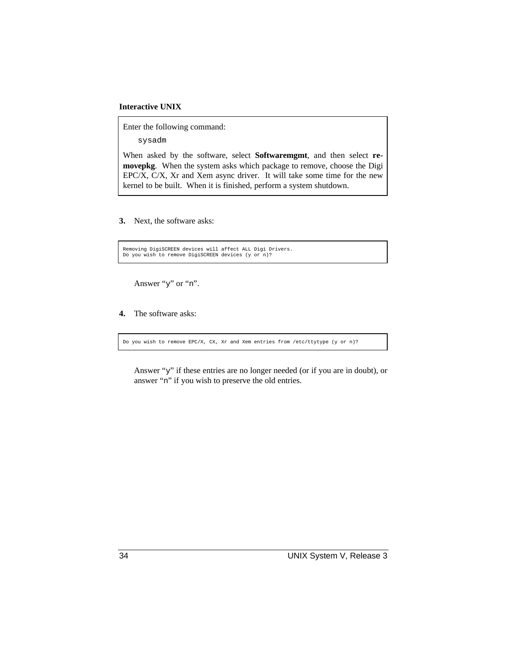#### **Interactive UNIX**

Enter the following command:

sysadm

When asked by the software, select **Softwaremgmt**, and then select **removepkg**. When the system asks which package to remove, choose the Digi EPC/X, C/X, Xr and Xem async driver. It will take some time for the new kernel to be built. When it is finished, perform a system shutdown.

**3.** Next, the software asks:

Removing DigiSCREEN devices will affect ALL Digi Drivers. Do you wish to remove DigiSCREEN devices (y or n)?

Answer "y" or "n".

**4.** The software asks:

Do you wish to remove EPC/X, CX, Xr and Xem entries from /etc/ttytype (y or n)?

Answer "y" if these entries are no longer needed (or if you are in doubt), or answer "n" if you wish to preserve the old entries.

34 UNIX System V, Release 3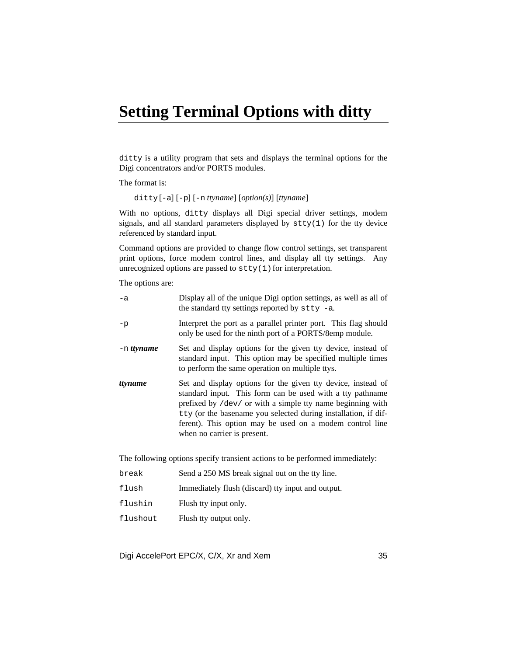## **Setting Terminal Options with ditty**

ditty is a utility program that sets and displays the terminal options for the Digi concentrators and/or PORTS modules.

The format is:

ditty [-a] [-p] [-n *ttyname*] [*option(s)*] [*ttyname*]

With no options, ditty displays all Digi special driver settings, modem signals, and all standard parameters displayed by stty(1) for the tty device referenced by standard input.

Command options are provided to change flow control settings, set transparent print options, force modem control lines, and display all tty settings. Any unrecognized options are passed to  $\text{stty}(1)$  for interpretation.

The options are:

| $-a$         | Display all of the unique Digi option settings, as well as all of<br>the standard tty settings reported by $stty -a$ .                                                                                                                                                                                                                               |
|--------------|------------------------------------------------------------------------------------------------------------------------------------------------------------------------------------------------------------------------------------------------------------------------------------------------------------------------------------------------------|
| $-p$         | Interpret the port as a parallel printer port. This flag should<br>only be used for the ninth port of a PORTS/8emp module.                                                                                                                                                                                                                           |
| $-n$ ttyname | Set and display options for the given tty device, instead of<br>standard input. This option may be specified multiple times<br>to perform the same operation on multiple ttys.                                                                                                                                                                       |
| ttyname      | Set and display options for the given tty device, instead of<br>standard input. This form can be used with a tty pathname<br>prefixed by /dev/ or with a simple tty name beginning with<br>tty (or the basename you selected during installation, if dif-<br>ferent). This option may be used on a modem control line<br>when no carrier is present. |
|              | The following options specify transient actions to be performed immediately:                                                                                                                                                                                                                                                                         |

| break    | Send a 250 MS break signal out on the tty line.   |
|----------|---------------------------------------------------|
| flush    | Immediately flush (discard) tty input and output. |
| flushin  | Flush tty input only.                             |
| flushout | Flush tty output only.                            |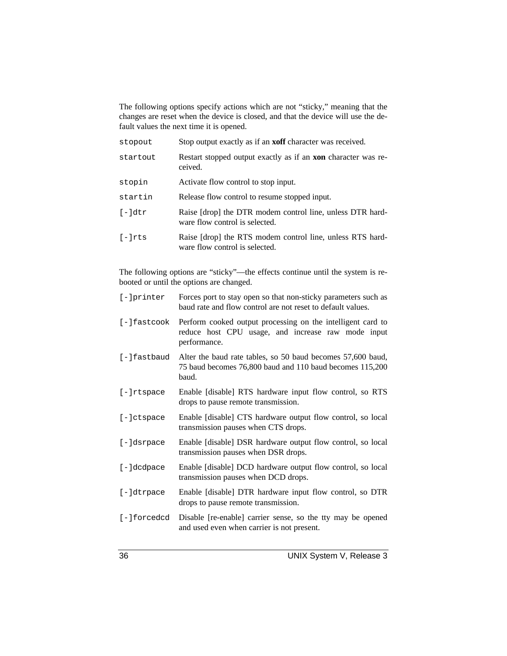The following options specify actions which are not "sticky," meaning that the changes are reset when the device is closed, and that the device will use the default values the next time it is opened.

| stopout   | Stop output exactly as if an <b>xoff</b> character was received.                            |
|-----------|---------------------------------------------------------------------------------------------|
| startout  | Restart stopped output exactly as if an <b>xon</b> character was re-<br>ceived.             |
| stopin    | Activate flow control to stop input.                                                        |
| startin   | Release flow control to resume stopped input.                                               |
| $[-$ ldtr | Raise [drop] the DTR modem control line, unless DTR hard-<br>ware flow control is selected. |
| $[-]$ rts | Raise [drop] the RTS modem control line, unless RTS hard-<br>ware flow control is selected. |

The following options are "sticky"—the effects continue until the system is rebooted or until the options are changed.

| [-]printer    | Forces port to stay open so that non-sticky parameters such as<br>baud rate and flow control are not reset to default values.     |
|---------------|-----------------------------------------------------------------------------------------------------------------------------------|
| [-]fastcook   | Perform cooked output processing on the intelligent card to<br>reduce host CPU usage, and increase raw mode input<br>performance. |
| [-]fastbaud   | Alter the baud rate tables, so 50 baud becomes 57,600 baud,<br>75 baud becomes 76,800 baud and 110 baud becomes 115,200<br>baud.  |
| $[-]$ rtspace | Enable [disable] RTS hardware input flow control, so RTS<br>drops to pause remote transmission.                                   |
| $[-]ctspace$  | Enable [disable] CTS hardware output flow control, so local<br>transmission pauses when CTS drops.                                |
| [-]dsrpace    | Enable [disable] DSR hardware output flow control, so local<br>transmission pauses when DSR drops.                                |
| [-]dcdpace    | Enable [disable] DCD hardware output flow control, so local<br>transmission pauses when DCD drops.                                |
| $[-]dtrpace$  | Enable [disable] DTR hardware input flow control, so DTR<br>drops to pause remote transmission.                                   |
| [-]forcedcd   | Disable [re-enable] carrier sense, so the tty may be opened<br>and used even when carrier is not present.                         |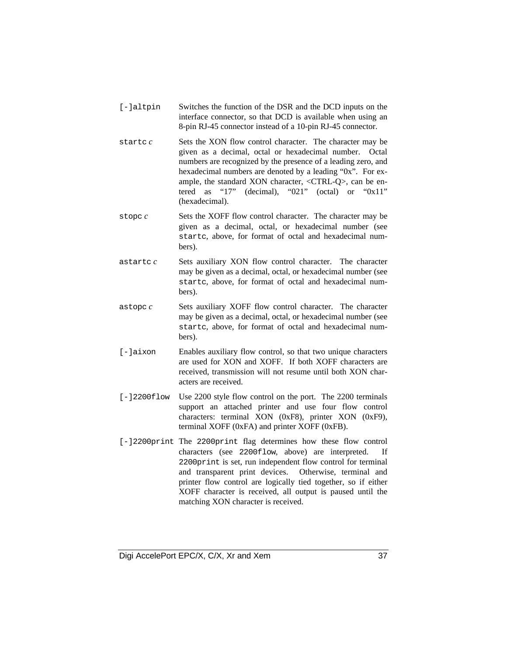- [-]altpin Switches the function of the DSR and the DCD inputs on the interface connector, so that DCD is available when using an 8-pin RJ-45 connector instead of a 10-pin RJ-45 connector.
- startc *c* Sets the XON flow control character. The character may be given as a decimal, octal or hexadecimal number. Octal numbers are recognized by the presence of a leading zero, and hexadecimal numbers are denoted by a leading "0x". For example, the standard XON character, <CTRL-Q>, can be entered as "17" (decimal), "021" (octal) or "0x11" (hexadecimal).
- stopc *c* Sets the XOFF flow control character. The character may be given as a decimal, octal, or hexadecimal number (see startc, above, for format of octal and hexadecimal numbers).
- astartc *c* Sets auxiliary XON flow control character. The character may be given as a decimal, octal, or hexadecimal number (see startc, above, for format of octal and hexadecimal numbers).
- astopc *c* Sets auxiliary XOFF flow control character. The character may be given as a decimal, octal, or hexadecimal number (see startc, above, for format of octal and hexadecimal numbers).
- [-]aixon Enables auxiliary flow control, so that two unique characters are used for XON and XOFF. If both XOFF characters are received, transmission will not resume until both XON characters are received.
- [-]2200flow Use 2200 style flow control on the port. The 2200 terminals support an attached printer and use four flow control characters: terminal XON (0xF8), printer XON (0xF9), terminal XOFF (0xFA) and printer XOFF (0xFB).
- [-]2200print The 2200print flag determines how these flow control characters (see 2200flow, above) are interpreted. If 2200print is set, run independent flow control for terminal and transparent print devices. Otherwise, terminal and printer flow control are logically tied together, so if either XOFF character is received, all output is paused until the matching XON character is received.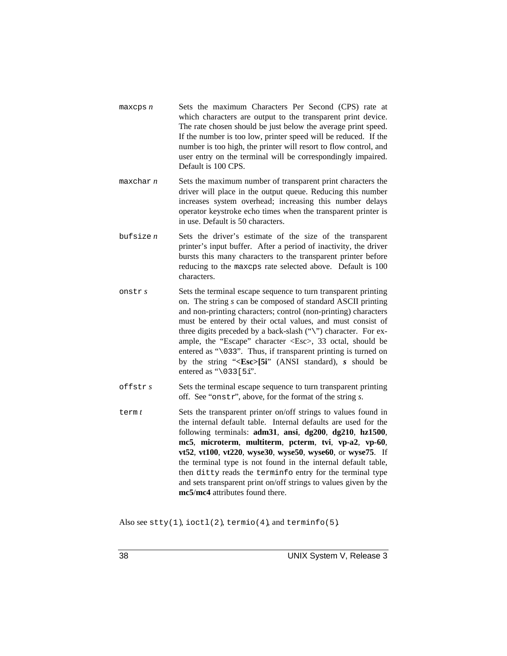| maxeps n | Sets the maximum Characters Per Second (CPS) rate at             |
|----------|------------------------------------------------------------------|
|          | which characters are output to the transparent print device.     |
|          | The rate chosen should be just below the average print speed.    |
|          | If the number is too low, printer speed will be reduced. If the  |
|          | number is too high, the printer will resort to flow control, and |
|          | user entry on the terminal will be correspondingly impaired.     |
|          | Default is 100 CPS.                                              |

- maxchar *n* Sets the maximum number of transparent print characters the driver will place in the output queue. Reducing this number increases system overhead; increasing this number delays operator keystroke echo times when the transparent printer is in use. Default is 50 characters.
- bufsize  $n$  Sets the driver's estimate of the size of the transparent printer's input buffer. After a period of inactivity, the driver bursts this many characters to the transparent printer before reducing to the maxcps rate selected above. Default is 100 characters.
- onstr *s* Sets the terminal escape sequence to turn transparent printing on. The string *s* can be composed of standard ASCII printing and non-printing characters; control (non-printing) characters must be entered by their octal values, and must consist of three digits preceded by a back-slash ("\") character. For example, the "Escape" character <Esc>, 33 octal, should be entered as "\033". Thus, if transparent printing is turned on by the string "**<Esc>[5i**" (ANSI standard), *s* should be entered as " $\setminus$  033 [5i".
- offstr *s* Sets the terminal escape sequence to turn transparent printing off. See "onstr", above, for the format of the string *s*.
- term *t* Sets the transparent printer on/off strings to values found in the internal default table. Internal defaults are used for the following terminals: **adm31**, **ansi**, **dg200**, **dg210**, **hz1500**, **mc5**, **microterm**, **multiterm**, **pcterm**, **tvi**, **vp-a2**, **vp-60**, **vt52**, **vt100**, **vt220**, **wyse30**, **wyse50**, **wyse60**, or **wyse75**. If the terminal type is not found in the internal default table, then ditty reads the terminfo entry for the terminal type and sets transparent print on/off strings to values given by the **mc5**/**mc4** attributes found there.

Also see  $\text{stty}(1)$ , ioctl(2), termin(4), and terminfo(5).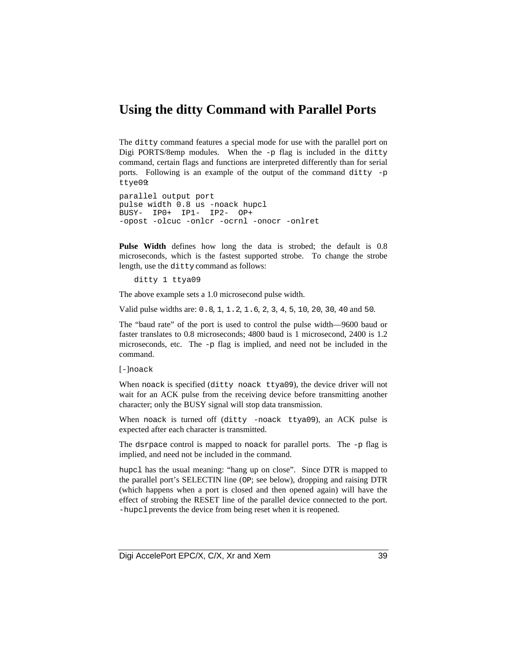## **Using the ditty Command with Parallel Ports**

The ditty command features a special mode for use with the parallel port on Digi PORTS/8emp modules. When the  $-p$  flag is included in the ditty command, certain flags and functions are interpreted differently than for serial ports. Following is an example of the output of the command ditty -p ttye09:

```
parallel output port
pulse width 0.8 us -noack hupcl
BUSY- IP0+ IP1- IP2- OP+
-opost -olcuc -onlcr -ocrnl -onocr -onlret
```
**Pulse Width** defines how long the data is strobed; the default is 0.8 microseconds, which is the fastest supported strobe. To change the strobe length, use the ditty command as follows:

ditty 1 ttya09

The above example sets a 1.0 microsecond pulse width.

Valid pulse widths are: 0.8, 1, 1.2, 1.6, 2, 3, 4, 5, 10, 20, 30, 40 and 50.

The "baud rate" of the port is used to control the pulse width—9600 baud or faster translates to 0.8 microseconds; 4800 baud is 1 microsecond, 2400 is 1.2 microseconds, etc. The -p flag is implied, and need not be included in the command.

#### [-]noack

When noack is specified (ditty noack ttya09), the device driver will not wait for an ACK pulse from the receiving device before transmitting another character; only the BUSY signal will stop data transmission.

When noack is turned off (ditty -noack ttya09), an ACK pulse is expected after each character is transmitted.

The dsrpace control is mapped to noack for parallel ports. The -p flag is implied, and need not be included in the command.

hupcl has the usual meaning: "hang up on close". Since DTR is mapped to the parallel port's SELECTIN line (OP; see below), dropping and raising DTR (which happens when a port is closed and then opened again) will have the effect of strobing the RESET line of the parallel device connected to the port. -hupcl prevents the device from being reset when it is reopened.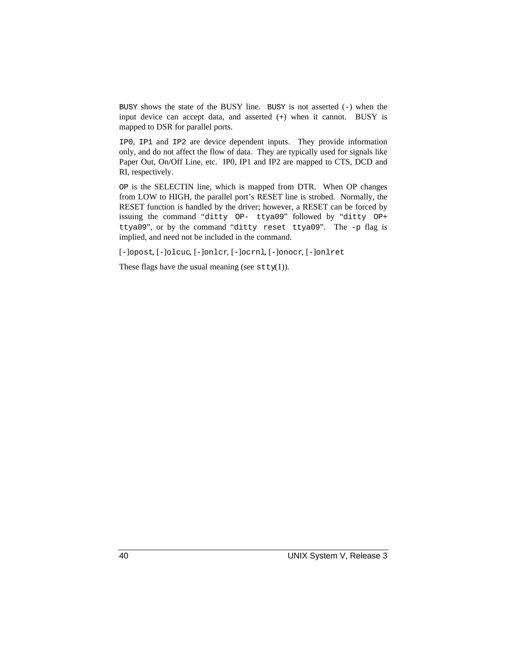BUSY shows the state of the BUSY line. BUSY is not asserted  $(-)$  when the input device can accept data, and asserted (+) when it cannot. BUSY is mapped to DSR for parallel ports.

IP0, IP1 and IP2 are device dependent inputs. They provide information only, and do not affect the flow of data. They are typically used for signals like Paper Out, On/Off Line, etc. IP0, IP1 and IP2 are mapped to CTS, DCD and RI, respectively.

OP is the SELECTIN line, which is mapped from DTR. When OP changes from LOW to HIGH, the parallel port's RESET line is strobed. Normally, the RESET function is handled by the driver; however, a RESET can be forced by issuing the command "ditty OP- ttya09" followed by "ditty OP+ ttya09", or by the command "ditty reset ttya09". The -p flag is implied, and need not be included in the command.

[-]opost, [-]olcuc, [-]onlcr, [-]ocrnl, [-]onocr, [-]onlret

These flags have the usual meaning (see  $\text{stty}(1)$ ).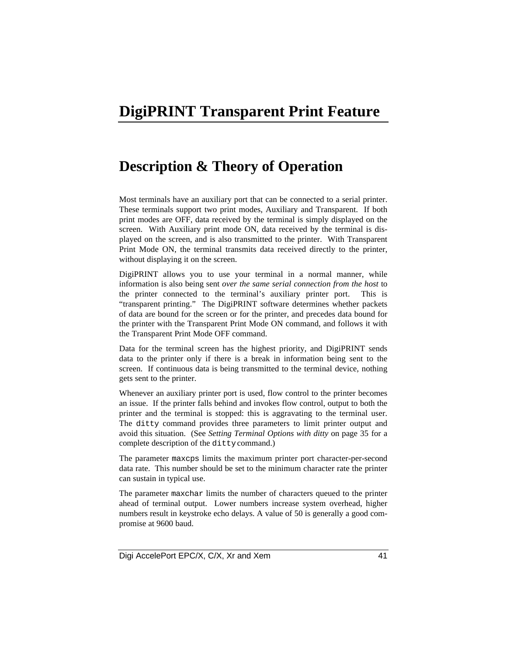## **DigiPRINT Transparent Print Feature**

## **Description & Theory of Operation**

Most terminals have an auxiliary port that can be connected to a serial printer. These terminals support two print modes, Auxiliary and Transparent. If both print modes are OFF, data received by the terminal is simply displayed on the screen. With Auxiliary print mode ON, data received by the terminal is displayed on the screen, and is also transmitted to the printer. With Transparent Print Mode ON, the terminal transmits data received directly to the printer, without displaying it on the screen.

DigiPRINT allows you to use your terminal in a normal manner, while information is also being sent *over the same serial connection from the host* to the printer connected to the terminal's auxiliary printer port. This is "transparent printing." The DigiPRINT software determines whether packets of data are bound for the screen or for the printer, and precedes data bound for the printer with the Transparent Print Mode ON command, and follows it with the Transparent Print Mode OFF command.

Data for the terminal screen has the highest priority, and DigiPRINT sends data to the printer only if there is a break in information being sent to the screen. If continuous data is being transmitted to the terminal device, nothing gets sent to the printer.

Whenever an auxiliary printer port is used, flow control to the printer becomes an issue. If the printer falls behind and invokes flow control, output to both the printer and the terminal is stopped: this is aggravating to the terminal user. The ditty command provides three parameters to limit printer output and avoid this situation. (See *Setting Terminal Options with ditty* on page 35 for a complete description of the ditty command.)

The parameter maxcps limits the maximum printer port character-per-second data rate. This number should be set to the minimum character rate the printer can sustain in typical use.

The parameter maxchar limits the number of characters queued to the printer ahead of terminal output. Lower numbers increase system overhead, higher numbers result in keystroke echo delays. A value of 50 is generally a good compromise at 9600 baud.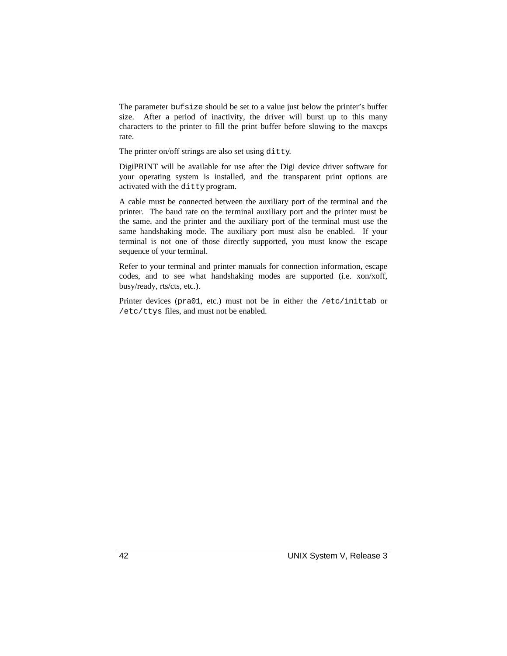The parameter bufsize should be set to a value just below the printer's buffer size. After a period of inactivity, the driver will burst up to this many characters to the printer to fill the print buffer before slowing to the maxcps rate.

The printer on/off strings are also set using ditty.

DigiPRINT will be available for use after the Digi device driver software for your operating system is installed, and the transparent print options are activated with the ditty program.

A cable must be connected between the auxiliary port of the terminal and the printer. The baud rate on the terminal auxiliary port and the printer must be the same, and the printer and the auxiliary port of the terminal must use the same handshaking mode. The auxiliary port must also be enabled. If your terminal is not one of those directly supported, you must know the escape sequence of your terminal.

Refer to your terminal and printer manuals for connection information, escape codes, and to see what handshaking modes are supported (i.e. xon/xoff, busy/ready, rts/cts, etc.).

Printer devices (pra01, etc.) must not be in either the /etc/inittab or /etc/ttys files, and must not be enabled.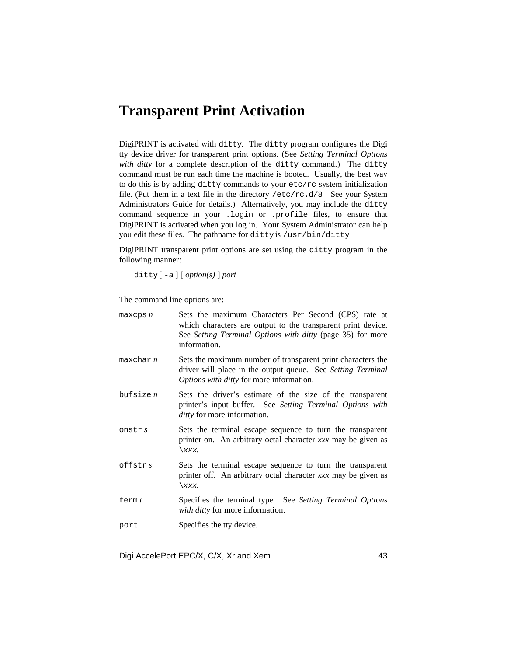## **Transparent Print Activation**

DigiPRINT is activated with ditty. The ditty program configures the Digi tty device driver for transparent print options. (See *Setting Terminal Options* with ditty for a complete description of the ditty command.) The ditty command must be run each time the machine is booted. Usually, the best way to do this is by adding ditty commands to your etc/rc system initialization file. (Put them in a text file in the directory  $/etc/rc.d/8$ —See your System Administrators Guide for details.) Alternatively, you may include the ditty command sequence in your .login or .profile files, to ensure that DigiPRINT is activated when you log in. Your System Administrator can help you edit these files. The pathname for ditty is /usr/bin/ditty.

DigiPRINT transparent print options are set using the ditty program in the following manner:

ditty [ -a ] [ *option(s)* ] *port*

The command line options are:

| maxeps n    | Sets the maximum Characters Per Second (CPS) rate at<br>which characters are output to the transparent print device.<br>See Setting Terminal Options with ditty (page 35) for more<br>information. |
|-------------|----------------------------------------------------------------------------------------------------------------------------------------------------------------------------------------------------|
| maxchar n   | Sets the maximum number of transparent print characters the<br>driver will place in the output queue. See Setting Terminal<br>Options with ditty for more information.                             |
| bufsize $n$ | Sets the driver's estimate of the size of the transparent<br>printer's input buffer. See Setting Terminal Options with<br><i>ditty</i> for more information.                                       |
| onstr $s$   | Sets the terminal escape sequence to turn the transparent<br>printer on. An arbitrary octal character xxx may be given as<br>$\chi$ xxx.                                                           |
| offstrs     | Sets the terminal escape sequence to turn the transparent<br>printer off. An arbitrary octal character xxx may be given as<br>$\chi$ xxx.                                                          |
| term $t$    | Specifies the terminal type. See Setting Terminal Options<br>with ditty for more information.                                                                                                      |
| port        | Specifies the tty device.                                                                                                                                                                          |

Digi AccelePort EPC/X, C/X, Xr and Xem 43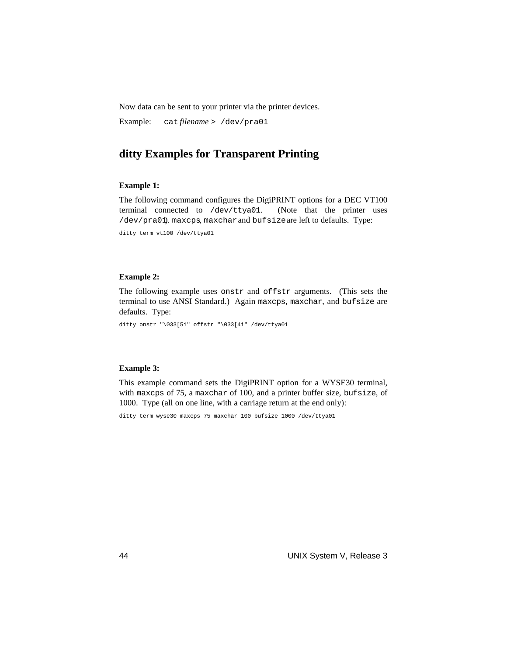Now data can be sent to your printer via the printer devices.

Example: cat *filename* > /dev/pra01

## **ditty Examples for Transparent Printing**

#### **Example 1:**

The following command configures the DigiPRINT options for a DEC VT100 terminal connected to /dev/ttya01. (Note that the printer uses /dev/pra01). maxcps, maxcharand bufsizeare left to defaults. Type:

ditty term vt100 /dev/ttya01

#### **Example 2:**

The following example uses onstr and offstr arguments. (This sets the terminal to use ANSI Standard.) Again maxcps, maxchar, and bufsize are defaults. Type:

ditty onstr "\033[5i" offstr "\033[4i" /dev/ttya01

### **Example 3:**

This example command sets the DigiPRINT option for a WYSE30 terminal, with maxcps of 75, a maxchar of 100, and a printer buffer size, bufsize, of 1000. Type (all on one line, with a carriage return at the end only):

ditty term wyse30 maxcps 75 maxchar 100 bufsize 1000 /dev/ttya01

44 UNIX System V, Release 3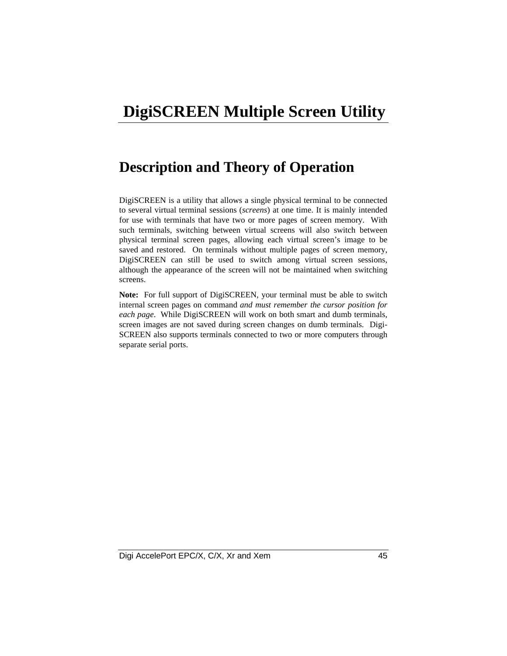# **DigiSCREEN Multiple Screen Utility**

## **Description and Theory of Operation**

DigiSCREEN is a utility that allows a single physical terminal to be connected to several virtual terminal sessions (*screens*) at one time. It is mainly intended for use with terminals that have two or more pages of screen memory. With such terminals, switching between virtual screens will also switch between physical terminal screen pages, allowing each virtual screen's image to be saved and restored. On terminals without multiple pages of screen memory, DigiSCREEN can still be used to switch among virtual screen sessions, although the appearance of the screen will not be maintained when switching screens.

**Note:** For full support of DigiSCREEN, your terminal must be able to switch internal screen pages on command *and must remember the cursor position for each page*. While DigiSCREEN will work on both smart and dumb terminals, screen images are not saved during screen changes on dumb terminals. Digi-SCREEN also supports terminals connected to two or more computers through separate serial ports.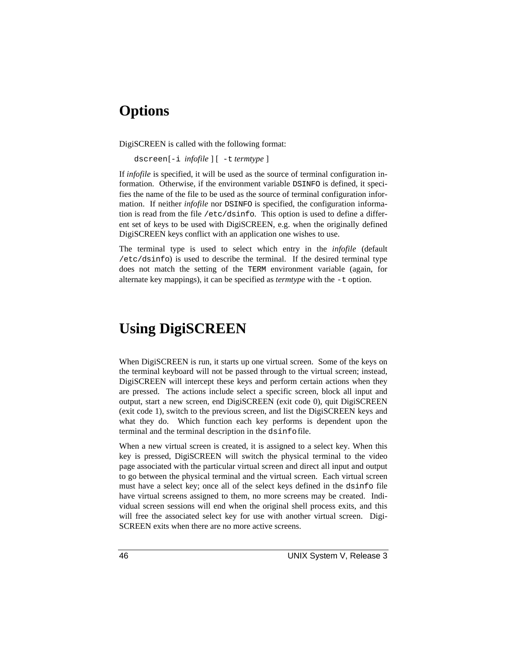## **Options**

DigiSCREEN is called with the following format:

dscreen [-i *infofile* ] [ -t *termtype* ]

If *infofile* is specified, it will be used as the source of terminal configuration information. Otherwise, if the environment variable DSINFO is defined, it specifies the name of the file to be used as the source of terminal configuration information. If neither *infofile* nor DSINFO is specified, the configuration information is read from the file /etc/dsinfo. This option is used to define a different set of keys to be used with DigiSCREEN, e.g. when the originally defined DigiSCREEN keys conflict with an application one wishes to use.

The terminal type is used to select which entry in the *infofile* (default /etc/dsinfo) is used to describe the terminal. If the desired terminal type does not match the setting of the TERM environment variable (again, for alternate key mappings), it can be specified as *termtype* with the -t option.

## **Using DigiSCREEN**

When DigiSCREEN is run, it starts up one virtual screen. Some of the keys on the terminal keyboard will not be passed through to the virtual screen; instead, DigiSCREEN will intercept these keys and perform certain actions when they are pressed. The actions include select a specific screen, block all input and output, start a new screen, end DigiSCREEN (exit code 0), quit DigiSCREEN (exit code 1), switch to the previous screen, and list the DigiSCREEN keys and what they do. Which function each key performs is dependent upon the terminal and the terminal description in the dsinfo file.

When a new virtual screen is created, it is assigned to a select key. When this key is pressed, DigiSCREEN will switch the physical terminal to the video page associated with the particular virtual screen and direct all input and output to go between the physical terminal and the virtual screen. Each virtual screen must have a select key; once all of the select keys defined in the dsinfo file have virtual screens assigned to them, no more screens may be created. Individual screen sessions will end when the original shell process exits, and this will free the associated select key for use with another virtual screen. Digi-SCREEN exits when there are no more active screens.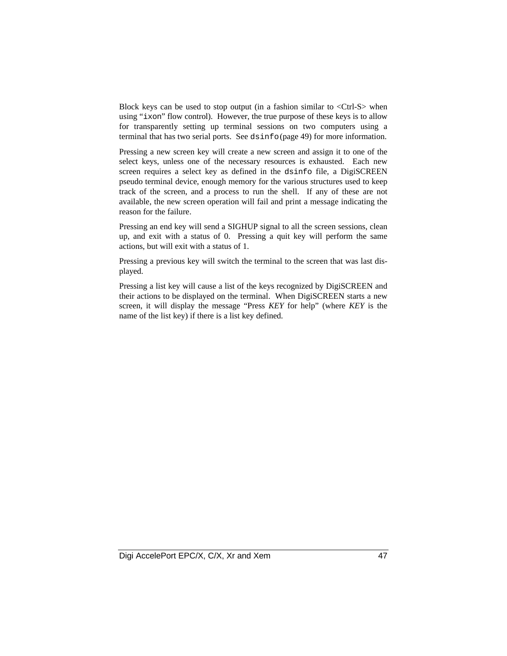Block keys can be used to stop output (in a fashion similar to <Ctrl-S> when using "ixon" flow control). However, the true purpose of these keys is to allow for transparently setting up terminal sessions on two computers using a terminal that has two serial ports. See dsinfo (page 49) for more information.

Pressing a new screen key will create a new screen and assign it to one of the select keys, unless one of the necessary resources is exhausted. Each new screen requires a select key as defined in the dsinfo file, a DigiSCREEN pseudo terminal device, enough memory for the various structures used to keep track of the screen, and a process to run the shell. If any of these are not available, the new screen operation will fail and print a message indicating the reason for the failure.

Pressing an end key will send a SIGHUP signal to all the screen sessions, clean up, and exit with a status of 0. Pressing a quit key will perform the same actions, but will exit with a status of 1.

Pressing a previous key will switch the terminal to the screen that was last displayed.

Pressing a list key will cause a list of the keys recognized by DigiSCREEN and their actions to be displayed on the terminal. When DigiSCREEN starts a new screen, it will display the message "Press *KEY* for help" (where *KEY* is the name of the list key) if there is a list key defined.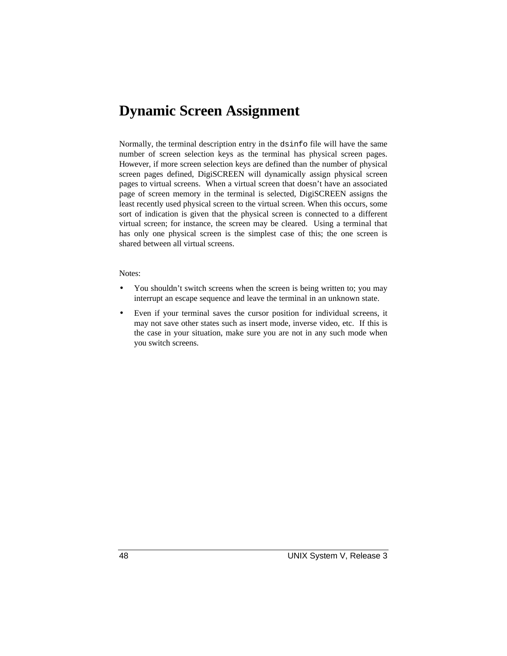## **Dynamic Screen Assignment**

Normally, the terminal description entry in the dsinfo file will have the same number of screen selection keys as the terminal has physical screen pages. However, if more screen selection keys are defined than the number of physical screen pages defined, DigiSCREEN will dynamically assign physical screen pages to virtual screens. When a virtual screen that doesn't have an associated page of screen memory in the terminal is selected, DigiSCREEN assigns the least recently used physical screen to the virtual screen. When this occurs, some sort of indication is given that the physical screen is connected to a different virtual screen; for instance, the screen may be cleared. Using a terminal that has only one physical screen is the simplest case of this; the one screen is shared between all virtual screens.

#### Notes:

- You shouldn't switch screens when the screen is being written to; you may interrupt an escape sequence and leave the terminal in an unknown state.
- Even if your terminal saves the cursor position for individual screens, it may not save other states such as insert mode, inverse video, etc. If this is the case in your situation, make sure you are not in any such mode when you switch screens.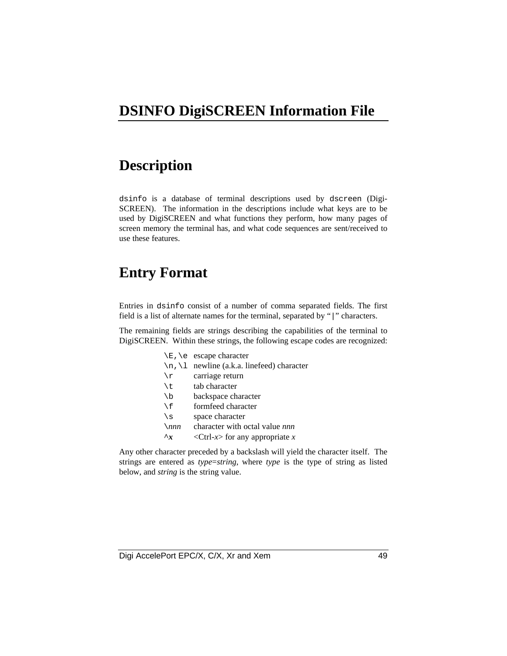## **DSINFO DigiSCREEN Information File**

## **Description**

dsinfo is a database of terminal descriptions used by dscreen (Digi-SCREEN). The information in the descriptions include what keys are to be used by DigiSCREEN and what functions they perform, how many pages of screen memory the terminal has, and what code sequences are sent/received to use these features.

## **Entry Format**

Entries in dsinfo consist of a number of comma separated fields. The first field is a list of alternate names for the terminal, separated by "|" characters.

The remaining fields are strings describing the capabilities of the terminal to DigiSCREEN. Within these strings, the following escape codes are recognized:

|                                  | $\E$ , $\e$ escape character                         |
|----------------------------------|------------------------------------------------------|
| $\n\langle n, \langle 1 \rangle$ | newline (a.k.a. linefeed) character                  |
| \r                               | carriage return                                      |
| \t                               | tab character                                        |
| $\setminus b$                    | backspace character                                  |
| $\setminus f$                    | formfeed character                                   |
| $\setminus$ s                    | space character                                      |
| $\setminus$ nnn                  | character with octal value nnn                       |
| $\mathbf{r}$                     | <ctrl-<math>x&gt; for any appropriate x</ctrl-<math> |

Any other character preceded by a backslash will yield the character itself. The strings are entered as *type*=*string*, where *type* is the type of string as listed below, and *string* is the string value.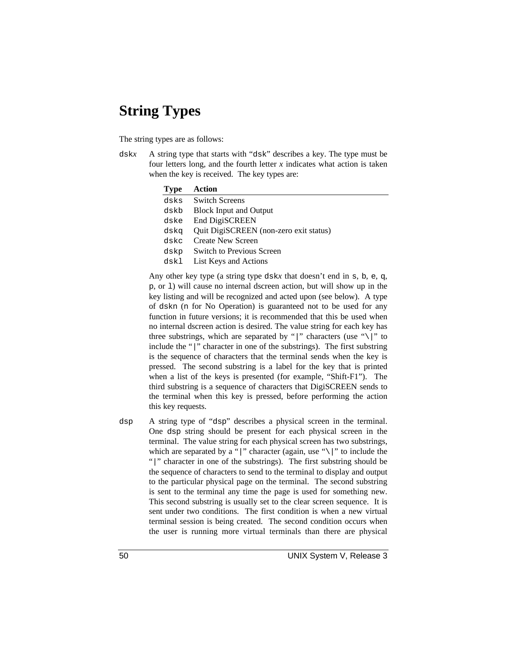## **String Types**

The string types are as follows:

dsk*x* A string type that starts with "dsk" describes a key. The type must be four letters long, and the fourth letter  $x$  indicates what action is taken when the key is received. The key types are:

| <b>Type</b> | Action                                 |
|-------------|----------------------------------------|
| dsks        | <b>Switch Screens</b>                  |
| dskb        | <b>Block Input and Output</b>          |
| dske        | End DigiSCREEN                         |
| dska        | Quit DigiSCREEN (non-zero exit status) |
| dskc        | <b>Create New Screen</b>               |
| dskp        | <b>Switch to Previous Screen</b>       |
| dskl        | List Keys and Actions                  |

Any other key type (a string type dsk*x* that doesn't end in s, b, e, q, p, or l) will cause no internal dscreen action, but will show up in the key listing and will be recognized and acted upon (see below). A type of dskn (n for No Operation) is guaranteed not to be used for any function in future versions; it is recommended that this be used when no internal dscreen action is desired. The value string for each key has three substrings, which are separated by "|" characters (use "\|" to include the "|" character in one of the substrings). The first substring is the sequence of characters that the terminal sends when the key is pressed. The second substring is a label for the key that is printed when a list of the keys is presented (for example, "Shift-F1"). The third substring is a sequence of characters that DigiSCREEN sends to the terminal when this key is pressed, before performing the action this key requests.

dsp A string type of "dsp" describes a physical screen in the terminal. One dsp string should be present for each physical screen in the terminal. The value string for each physical screen has two substrings, which are separated by a "|" character (again, use " $\setminus$ |" to include the "|" character in one of the substrings). The first substring should be the sequence of characters to send to the terminal to display and output to the particular physical page on the terminal. The second substring is sent to the terminal any time the page is used for something new. This second substring is usually set to the clear screen sequence. It is sent under two conditions. The first condition is when a new virtual terminal session is being created. The second condition occurs when the user is running more virtual terminals than there are physical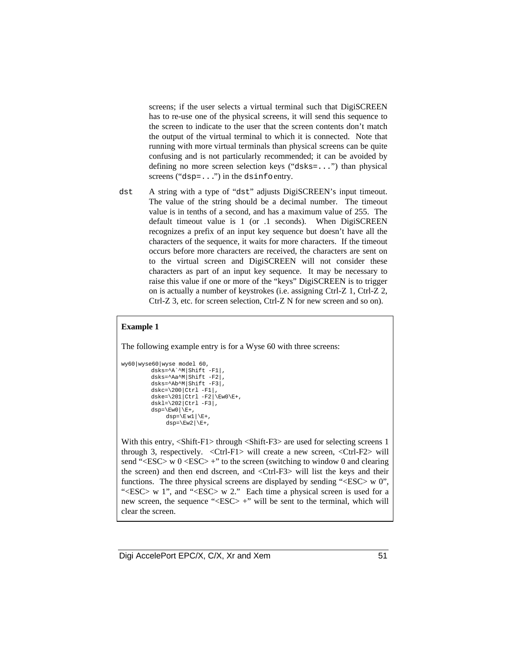screens; if the user selects a virtual terminal such that DigiSCREEN has to re-use one of the physical screens, it will send this sequence to the screen to indicate to the user that the screen contents don't match the output of the virtual terminal to which it is connected. Note that running with more virtual terminals than physical screens can be quite confusing and is not particularly recommended; it can be avoided by defining no more screen selection keys ("dsks=...") than physical screens ("dsp=...") in the dsinfo entry.

dst A string with a type of "dst" adjusts DigiSCREEN's input timeout. The value of the string should be a decimal number. The timeout value is in tenths of a second, and has a maximum value of 255. The default timeout value is 1 (or .1 seconds). When DigiSCREEN recognizes a prefix of an input key sequence but doesn't have all the characters of the sequence, it waits for more characters. If the timeout occurs before more characters are received, the characters are sent on to the virtual screen and DigiSCREEN will not consider these characters as part of an input key sequence. It may be necessary to raise this value if one or more of the "keys" DigiSCREEN is to trigger on is actually a number of keystrokes (i.e. assigning Ctrl-Z 1, Ctrl-Z 2, Ctrl-Z 3, etc. for screen selection, Ctrl-Z N for new screen and so on).

#### **Example 1**

The following example entry is for a Wyse 60 with three screens:

```
wy60|wyse60|wyse model 60,
              dsks=^A`^M|Shift -F1|,
             dsks=\lambdaa\simM|Shift -F2|
              dsks=^Ab^M|Shift -F3|,
             dskc=\200|ctrl -F1|,
             dske=\201|Ctrl - F2|\Eve0\E+,
             dskl=\202|Ctrl - F3|,
             dsp=\E{w0|\E_{+}},
                    \texttt{disp}=\left\langle \mathbb{E}\;\mathbb{w}1\;\right|\;\left\langle \mathbb{E}^+\right\rangle ,
                    dsp=\E{w2|\E_{+}},
```
With this entry, <Shift-F1> through <Shift-F3> are used for selecting screens 1 through 3, respectively.  $\langle$ Ctrl-F1 $>$  will create a new screen,  $\langle$ Ctrl-F2 $>$  will send "<ESC> w 0 <ESC> +" to the screen (switching to window 0 and clearing the screen) and then end dscreen, and <Ctrl-F3> will list the keys and their functions. The three physical screens are displayed by sending "<ESC> w 0", " $\langle$ ESC $>$  w 1", and " $\langle$ ESC $>$  w 2." Each time a physical screen is used for a new screen, the sequence "<ESC> +" will be sent to the terminal, which will clear the screen.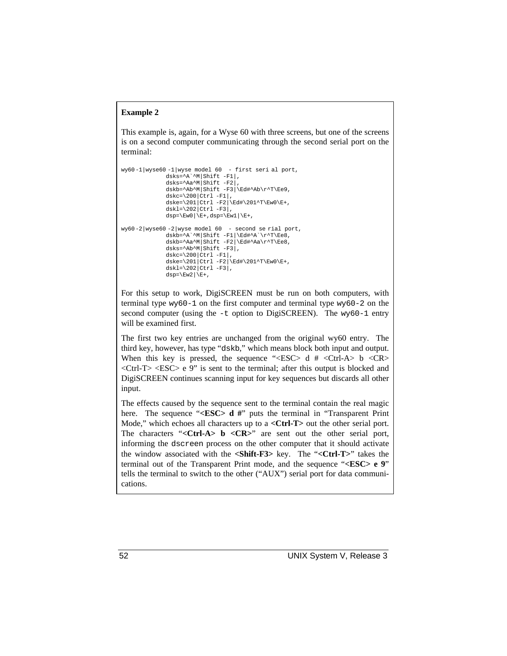### **Example 2**

This example is, again, for a Wyse 60 with three screens, but one of the screens is on a second computer communicating through the second serial port on the terminal:

```
wy60-1|wyse60 -1|wyse model 60 - first seri al port,
                dsks=^A`^M|Shift -F1|,
                dsks=^Aa^M|Shift -F2|,
                dskb=^Ab^M|Shift -F3|\Ed#^Ab\r^T\Ee9,
                dskc=\200|Ctrl -F1|,
                dske=\201|Ctrl -F2|\Ed#\201^T\Ew0\E+,
                dskl=\202|Ctrl - F3|\label{eq:dsp} \mathrm{disp}=\E{\mathbf{w0}\mid \mathbf{E}^+,\mathrm{disp}=\E{\mathbf{w1}\mid \mathbf{E}^+ \,,}wy60-2|wyse60 -2|wyse model 60 - second se rial port,
                \label{eq:dsk} $$dskb={}^A`^M|\Shift -F1|\Ed#^A`\r^T\Ee8 \, ,dskb=^Aa^M|Shift -F2|\Ed#^Aa\r^T\Ee8,
                dsks=^Ab^M|Shift -F3|,
                dskc=\200|Ctrl -F1|,
                dske=\201|Ctrl -F2|\Ed#\201^T\Ew0\E+,
                dskl=\202|Ctrl -F3|,
                dsp=\E{w2}|E+,
```
For this setup to work, DigiSCREEN must be run on both computers, with terminal type wy60-1 on the first computer and terminal type wy60-2 on the second computer (using the  $-t$  option to DigiSCREEN). The wy60-1 entry will be examined first.

The first two key entries are unchanged from the original wy60 entry. The third key, however, has type "dskb," which means block both input and output. When this key is pressed, the sequence " $\langle$ ESC> d #  $\langle$ Ctrl-A> b  $\langle$ CR>  $\langle$ Ctrl-T $>$  $\langle$ ESC $>$  e 9" is sent to the terminal; after this output is blocked and DigiSCREEN continues scanning input for key sequences but discards all other input.

The effects caused by the sequence sent to the terminal contain the real magic here. The sequence "**<ESC> d** #" puts the terminal in "Transparent Print" Mode," which echoes all characters up to a **<Ctrl-T>** out the other serial port. The characters "<Ctrl-A> **b** <CR>" are sent out the other serial port, informing the dscreen process on the other computer that it should activate the window associated with the **<Shift-F3>** key. The "**<Ctrl-T>**" takes the terminal out of the Transparent Print mode, and the sequence "**<ESC> e 9**" tells the terminal to switch to the other ("AUX") serial port for data communications.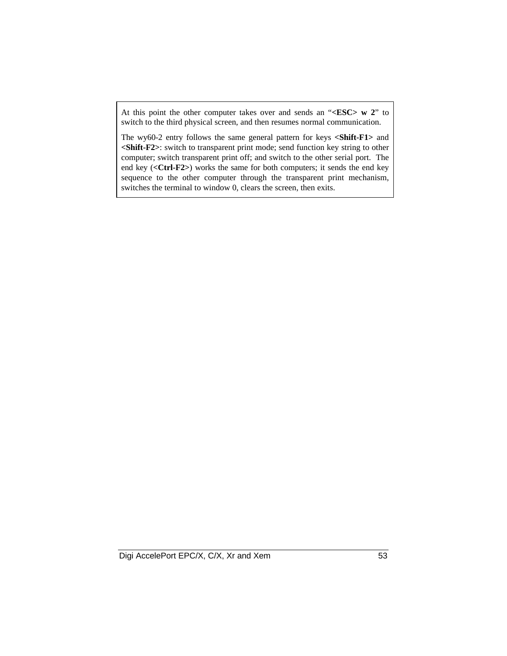At this point the other computer takes over and sends an "**<ESC> w 2**" to switch to the third physical screen, and then resumes normal communication.

The wy60-2 entry follows the same general pattern for keys **<Shift-F1>** and **<Shift-F2>**: switch to transparent print mode; send function key string to other computer; switch transparent print off; and switch to the other serial port. The end key (**<Ctrl-F2>**) works the same for both computers; it sends the end key sequence to the other computer through the transparent print mechanism, switches the terminal to window 0, clears the screen, then exits.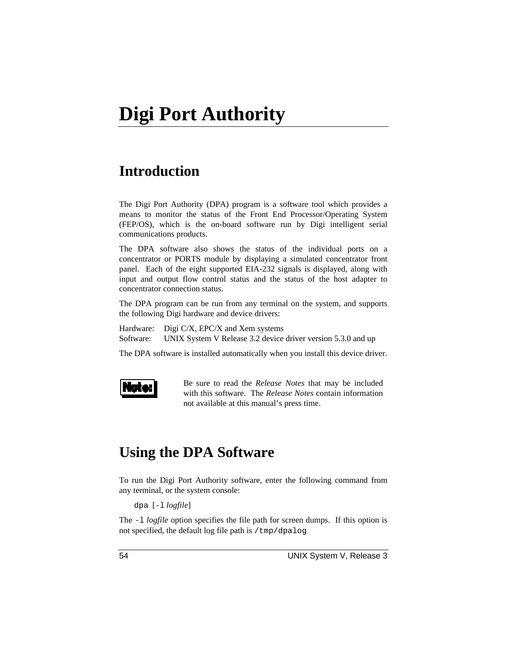## **Introduction**

The Digi Port Authority (DPA) program is a software tool which provides a means to monitor the status of the Front End Processor/Operating System (FEP/OS), which is the on-board software run by Digi intelligent serial communications products.

The DPA software also shows the status of the individual ports on a concentrator or PORTS module by displaying a simulated concentrator front panel. Each of the eight supported EIA-232 signals is displayed, along with input and output flow control status and the status of the host adapter to concentrator connection status.

The DPA program can be run from any terminal on the system, and supports the following Digi hardware and device drivers:

Hardware: Digi C/X, EPC/X and Xem systems Software: UNIX System V Release 3.2 device driver version 5.3.0 and up

The DPA software is installed automatically when you install this device driver.



Be sure to read the *Release Notes* that may be included with this software. The *Release Notes* contain information not available at this manual's press time.

## **Using the DPA Software**

To run the Digi Port Authority software, enter the following command from any terminal, or the system console:

dpa [-l *logfile*]

The -l *logfile* option specifies the file path for screen dumps. If this option is not specified, the default log file path is  $/\text{tmp}/\text{dpalog}$ .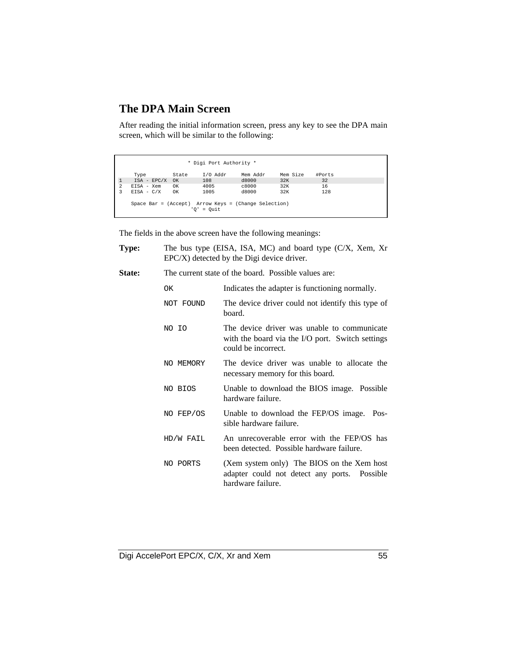## **The DPA Main Screen**

After reading the initial information screen, press any key to see the DPA main screen, which will be similar to the following:

|              |                                                      |                | * Digi Port Authority * |          |          |        |  |
|--------------|------------------------------------------------------|----------------|-------------------------|----------|----------|--------|--|
|              | Type                                                 | State          | I/O Addr                | Mem Addr | Mem Size | #Ports |  |
| $\mathbf{1}$ | $ISA$ - $EPC/X$ OK                                   |                | 108                     | d8000    | 32K      | 32     |  |
| 2            | $EISA - Xem$                                         | OK             | 4005                    | c8000    | 32K      | 16     |  |
| 3            | $EISA - C/X$                                         | O <sub>K</sub> | 1005                    | d8000    | 32K      | 128    |  |
|              | Space Bar = (Accept) Arrow Keys = (Change Selection) |                | $'0' = 0$ uit           |          |          |        |  |

The fields in the above screen have the following meanings:

| Type:         |           | The bus type (EISA, ISA, MC) and board type (C/X, Xem, Xr<br>$EPC/X$ ) detected by the Digi device driver.             |  |  |  |  |  |
|---------------|-----------|------------------------------------------------------------------------------------------------------------------------|--|--|--|--|--|
| <b>State:</b> |           | The current state of the board. Possible values are:                                                                   |  |  |  |  |  |
|               | OK        | Indicates the adapter is functioning normally.                                                                         |  |  |  |  |  |
|               | NOT FOUND | The device driver could not identify this type of<br>board.                                                            |  |  |  |  |  |
|               | NO IO     | The device driver was unable to communicate<br>with the board via the I/O port. Switch settings<br>could be incorrect. |  |  |  |  |  |
|               | NO MEMORY | The device driver was unable to allocate the<br>necessary memory for this board.                                       |  |  |  |  |  |
|               | NO BIOS   | Unable to download the BIOS image. Possible<br>hardware failure.                                                       |  |  |  |  |  |
|               | NO FEP/OS | Unable to download the FEP/OS image.<br>Pos-<br>sible hardware failure.                                                |  |  |  |  |  |
|               | HD/W FAIL | An unrecoverable error with the FEP/OS has<br>been detected. Possible hardware failure.                                |  |  |  |  |  |
|               | NO PORTS  | (Xem system only) The BIOS on the Xem host<br>adapter could not detect any ports. Possible<br>hardware failure.        |  |  |  |  |  |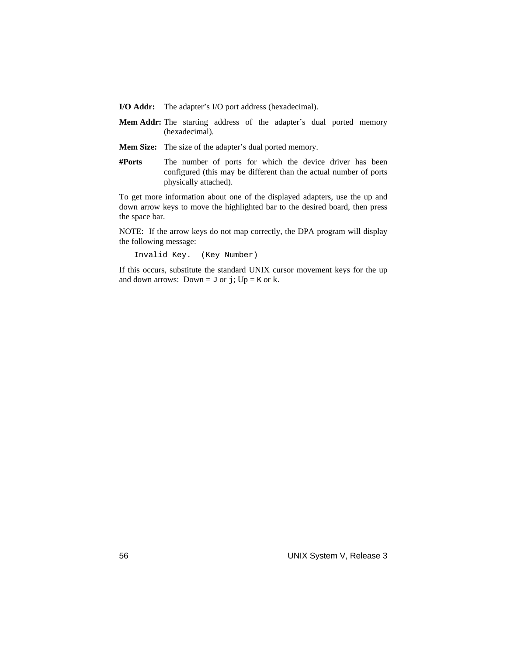**I/O Addr:** The adapter's I/O port address (hexadecimal).

- **Mem Addr:** The starting address of the adapter's dual ported memory (hexadecimal).
- **Mem Size:** The size of the adapter's dual ported memory.
- **#Ports** The number of ports for which the device driver has been configured (this may be different than the actual number of ports physically attached).

To get more information about one of the displayed adapters, use the up and down arrow keys to move the highlighted bar to the desired board, then press the space bar.

NOTE: If the arrow keys do not map correctly, the DPA program will display the following message:

Invalid Key. (Key Number)

If this occurs, substitute the standard UNIX cursor movement keys for the up and down arrows: Down =  $J$  or  $j$ ; Up =  $K$  or  $k$ .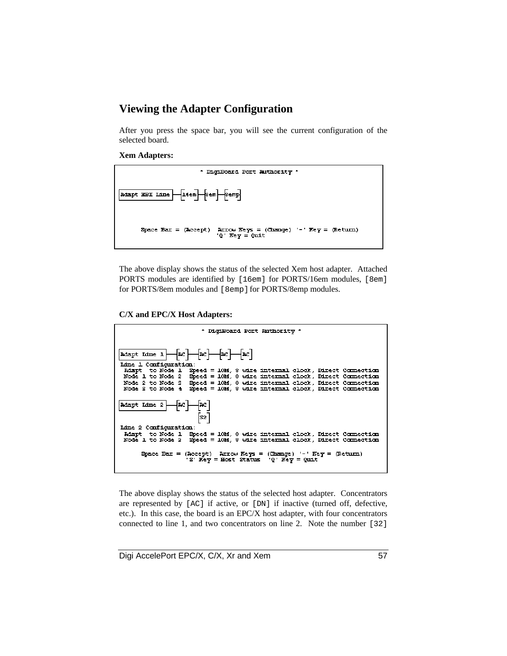## **Viewing the Adapter Configuration**

After you press the space bar, you will see the current configuration of the selected board.

#### **Xem Adapters:**



The above display shows the status of the selected Xem host adapter. Attached PORTS modules are identified by [16em] for PORTS/16em modules, [8em] for PORTS/8em modules and [8emp] for PORTS/8emp modules.

**C/X and EPC/X Host Adapters:**

| * DigiBoard Port Withority *                                                                                                                                                                                                            |
|-----------------------------------------------------------------------------------------------------------------------------------------------------------------------------------------------------------------------------------------|
|                                                                                                                                                                                                                                         |
| $\boxed{\texttt{mapt time 1} \quad \boxed{\texttt{nc}} \quad \boxed{\texttt{mc} \quad \boxed{\texttt{nc}} \quad \boxed{\texttt{nc}} }$                                                                                                  |
| <b>Idne 1 Configuration:</b>                                                                                                                                                                                                            |
| Adapt to Node 1 - Speed = 10M, 8 wire internal clock, Direct Connection                                                                                                                                                                 |
| Node 1 to Node 2 - Speed = 10M, 8 wire internal clock, Direct Connection                                                                                                                                                                |
| Speed = 10M, 8 wire internal clock, Direct Connection<br>Node 2 to Node S                                                                                                                                                               |
| Speed = 10M, 8 wire internal clock, Direct Connection<br>Node S to Node 4                                                                                                                                                               |
| $\begin{array}{ l } \hline \texttt{Mapt} & \texttt{Idne} & 2 \\ \hline \end{array} \begin{array}{ l } \hline \texttt{nc} & \texttt{nc} \\ \hline \end{array} \begin{array}{ l } \hline \texttt{nc} & \texttt{sc} \\ \hline \end{array}$ |
| <b>Idne 2 Configuration:</b>                                                                                                                                                                                                            |
| Adapt to Node 1 - Speed = 10M, 8 wire internal clock, Direct Connection                                                                                                                                                                 |
| Node 1 to Node 2 - Speed = 10M, 8 wire internal clock, Direct Connection                                                                                                                                                                |
| Space Ear = (Accept) Arrow Keys = (Change) '-' Key = (Return)<br>'S' Key = Host Status '0' Key = Quit                                                                                                                                   |

The above display shows the status of the selected host adapter. Concentrators are represented by [AC] if active, or [DN] if inactive (turned off, defective, etc.). In this case, the board is an EPC/X host adapter, with four concentrators connected to line 1, and two concentrators on line 2. Note the number [32]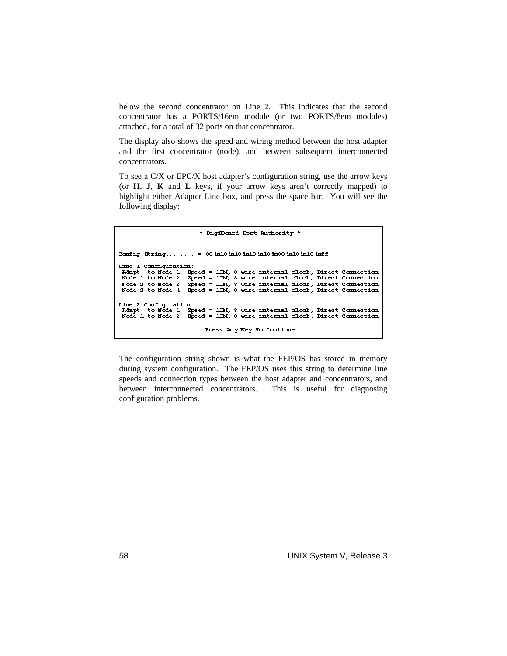below the second concentrator on Line 2. This indicates that the second concentrator has a PORTS/16em module (or two PORTS/8em modules) attached, for a total of 32 ports on that concentrator.

The display also shows the speed and wiring method between the host adapter and the first concentrator (node), and between subsequent interconnected concentrators.

To see a C/X or EPC/X host adapter's configuration string, use the arrow keys (or **H**, **J**, **K** and **L** keys, if your arrow keys aren't correctly mapped) to highlight either Adapter Line box, and press the space bar. You will see the following display:

\* DigiBoard Fort Ruthority \* Config String....... = 004a104a104a104a104a004a104a104aff Line 1 Configuration: mane I commention.<br>
Mapt to Node 1 Speed = 10M, 8 wire internal clock, Direct Connection<br>
Node 1 to Node 2 Speed = 10M, 8 wire internal clock, Direct Connection<br>
Node 2 to Node 3 Speed = 10M, 8 wire internal clock, Direct Node S to Node 4 Speed = 10M, 8 wire internal clock, Direct Connection Idne 2 Configuration: mare - communication.<br>Riapt to Node 1 Speed = 10M, 8 wire internal clock, Direct Connection.<br>Node 1 to Node 2 Speed = 10M, 8 wire internal clock, Direct Connection. Press Ray Key Do Continue

The configuration string shown is what the FEP/OS has stored in memory during system configuration. The FEP/OS uses this string to determine line speeds and connection types between the host adapter and concentrators, and between interconnected concentrators. This is useful for diagnosing configuration problems.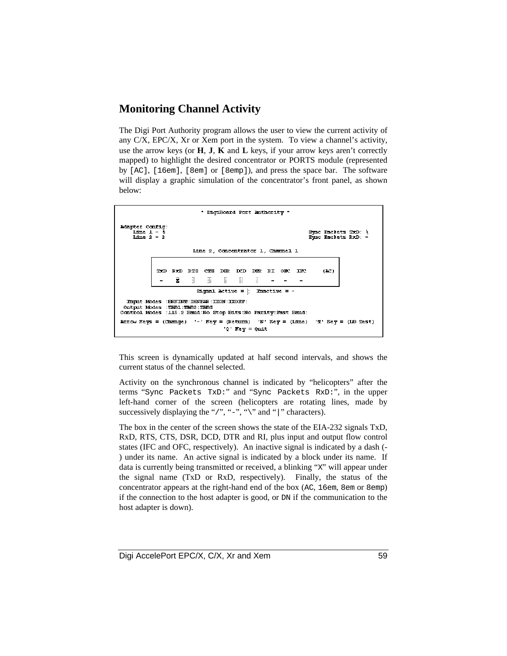## **Monitoring Channel Activity**

The Digi Port Authority program allows the user to view the current activity of any C/X, EPC/X, Xr or Xem port in the system. To view a channel's activity, use the arrow keys (or **H**, **J**, **K** and **L** keys, if your arrow keys aren't correctly mapped) to highlight the desired concentrator or PORTS module (represented by [AC], [16em], [8em] or [8emp]), and press the space bar. The software will display a graphic simulation of the concentrator's front panel, as shown below:



This screen is dynamically updated at half second intervals, and shows the current status of the channel selected.

Activity on the synchronous channel is indicated by "helicopters" after the terms "Sync Packets TxD:" and "Sync Packets RxD:", in the upper left-hand corner of the screen (helicopters are rotating lines, made by successively displaying the "/", "-", "\" and "|" characters).

The box in the center of the screen shows the state of the EIA-232 signals TxD, RxD, RTS, CTS, DSR, DCD, DTR and RI, plus input and output flow control states (IFC and OFC, respectively). An inactive signal is indicated by a dash (- ) under its name. An active signal is indicated by a block under its name. If data is currently being transmitted or received, a blinking "X" will appear under the signal name (TxD or RxD, respectively). Finally, the status of the concentrator appears at the right-hand end of the box (AC, 16em, 8em or 8emp) if the connection to the host adapter is good, or DN if the communication to the host adapter is down).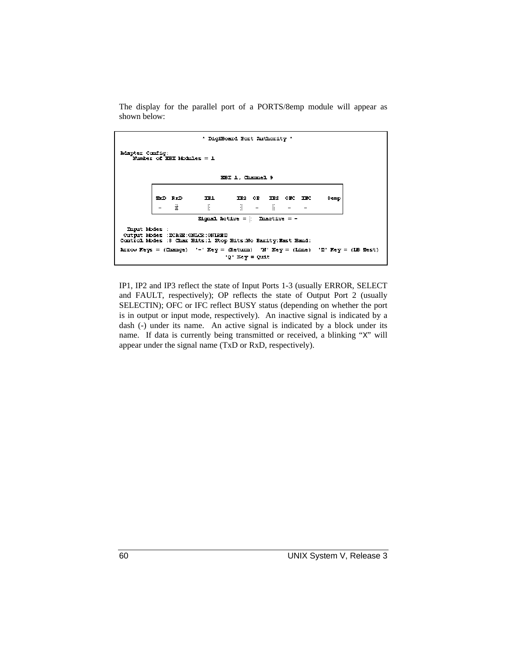The display for the parallel port of a PORTS/8emp module will appear as shown below:

| * DigiBoard Port Withority *                                                                                                                                                                       |  |        |                              |                        |  |                                                                                                                                 |  |      |  |
|----------------------------------------------------------------------------------------------------------------------------------------------------------------------------------------------------|--|--------|------------------------------|------------------------|--|---------------------------------------------------------------------------------------------------------------------------------|--|------|--|
| <b>Adapter Config:</b><br>Number of REI Modules = 1                                                                                                                                                |  |        |                              |                        |  |                                                                                                                                 |  |      |  |
|                                                                                                                                                                                                    |  |        |                              | <b>EEIL, Channel 9</b> |  |                                                                                                                                 |  |      |  |
|                                                                                                                                                                                                    |  | TO ROL | TE1                          | IP <sub>2</sub>        |  | OP IPS ORD IPC                                                                                                                  |  | 8emp |  |
|                                                                                                                                                                                                    |  |        | $E = 1$<br>Signal Active = h |                        |  | in the state of the state of the state of the state of the state of the state of the state of the state of the<br>$macttve = -$ |  |      |  |
| Input Modes :<br>Output Modes : ZCASE: ONLCR: ONIERP<br>Control Modes :8 Char Eits:1 Stop Eits:No Parity:Fast Eami:                                                                                |  |        |                              |                        |  |                                                                                                                                 |  |      |  |
| $\texttt{Arow}$ $\texttt{Keys} = (\texttt{Change})$ '-' $\texttt{Key} = (\texttt{Return})$ 'N' $\texttt{Key} = (\texttt{Line})$ 'T' $\texttt{Key} = (\texttt{IE} \texttt{Test})$<br>'Q' Key = Quit |  |        |                              |                        |  |                                                                                                                                 |  |      |  |

IP1, IP2 and IP3 reflect the state of Input Ports 1-3 (usually ERROR, SELECT and FAULT, respectively); OP reflects the state of Output Port 2 (usually SELECTIN); OFC or IFC reflect BUSY status (depending on whether the port is in output or input mode, respectively). An inactive signal is indicated by a dash (-) under its name. An active signal is indicated by a block under its name. If data is currently being transmitted or received, a blinking "X" will appear under the signal name (TxD or RxD, respectively).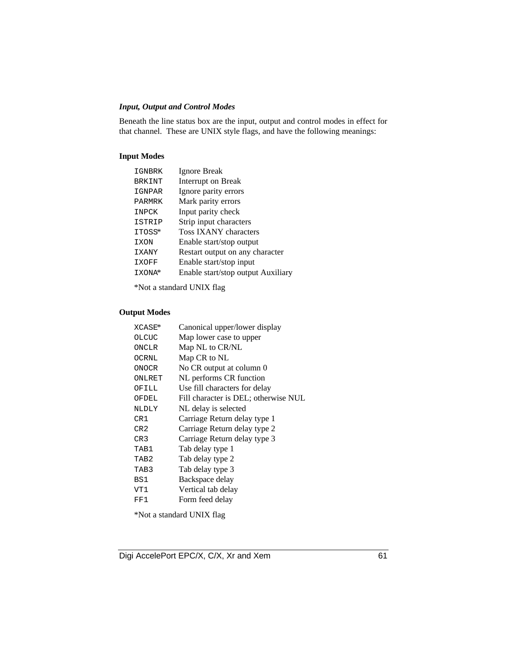### *Input, Output and Control Modes*

Beneath the line status box are the input, output and control modes in effect for that channel. These are UNIX style flags, and have the following meanings:

### **Input Modes**

| IGNBRK        | Ignore Break                       |
|---------------|------------------------------------|
| <b>BRKINT</b> | Interrupt on Break                 |
| IGNPAR        | Ignore parity errors               |
| PARMRK        | Mark parity errors                 |
| <b>TNPCK</b>  | Input parity check                 |
| ISTRIP        | Strip input characters             |
| ITOSS*        | Toss IXANY characters              |
| IXON          | Enable start/stop output           |
| <b>IXANY</b>  | Restart output on any character    |
| IXOFF         | Enable start/stop input            |
| IXONA*        | Enable start/stop output Auxiliary |
|               |                                    |

\*Not a standard UNIX flag

### **Output Modes**

| XCASE*           | Canonical upper/lower display        |
|------------------|--------------------------------------|
| OLCUC            | Map lower case to upper              |
| ONCLR            | Map NL to CR/NL                      |
| OCRNL            | Map CR to NL                         |
| <b>ONOCR</b>     | No CR output at column 0             |
| ONLRET           | NL performs CR function              |
| OFILL            | Use fill characters for delay        |
| OFDEL            | Fill character is DEL; otherwise NUL |
| <b>NLDLY</b>     | NL delay is selected                 |
| CR1              | Carriage Return delay type 1         |
| CR2              | Carriage Return delay type 2         |
| CR3              | Carriage Return delay type 3         |
| TAB1             | Tab delay type 1                     |
| TAB <sub>2</sub> | Tab delay type 2                     |
| TAB3             | Tab delay type 3                     |
| BS1              | Backspace delay                      |
| VT1              | Vertical tab delay                   |
| FF1              | Form feed delay                      |
|                  |                                      |

\*Not a standard UNIX flag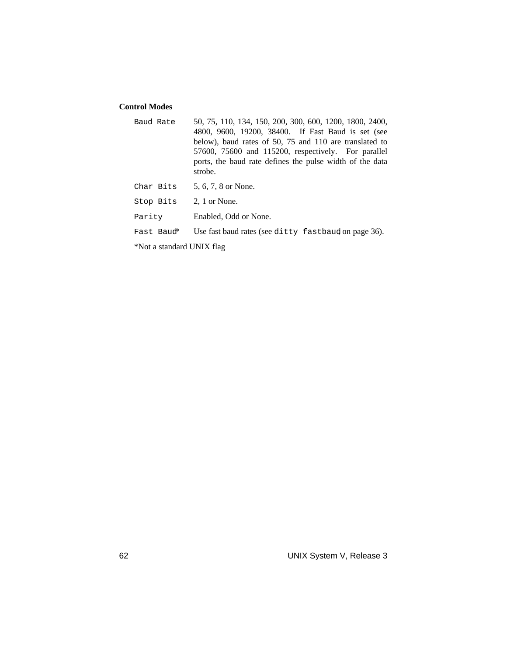### **Control Modes**

- Baud Rate 50, 75, 110, 134, 150, 200, 300, 600, 1200, 1800, 2400, 4800, 9600, 19200, 38400. If Fast Baud is set (see below), baud rates of 50, 75 and 110 are translated to 57600, 75600 and 115200, respectively. For parallel ports, the baud rate defines the pulse width of the data strobe. Char Bits  $5, 6, 7, 8$  or None. Stop Bits 2, 1 or None. Parity Enabled, Odd or None.
- Fast Baud\* Use fast baud rates (see ditty fastbaud on page 36).

\*Not a standard UNIX flag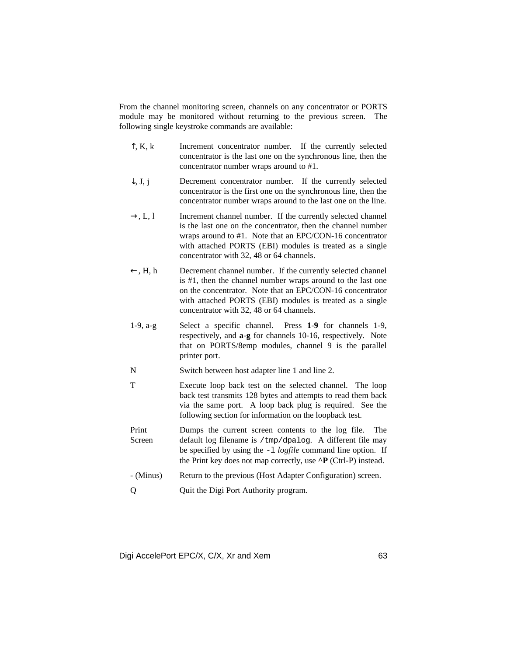From the channel monitoring screen, channels on any concentrator or PORTS module may be monitored without returning to the previous screen. The following single keystroke commands are available:

- $\hat{\Gamma}$ , K, k Increment concentrator number. If the currently selected concentrator is the last one on the synchronous line, then the concentrator number wraps around to #1.
- $\downarrow$ , J, j Decrement concentrator number. If the currently selected concentrator is the first one on the synchronous line, then the concentrator number wraps around to the last one on the line.
- $\rightarrow$ , L, l Increment channel number. If the currently selected channel is the last one on the concentrator, then the channel number wraps around to #1. Note that an EPC/CON-16 concentrator with attached PORTS (EBI) modules is treated as a single concentrator with 32, 48 or 64 channels.
- $\leftarrow$ , H, h Decrement channel number. If the currently selected channel is #1, then the channel number wraps around to the last one on the concentrator. Note that an EPC/CON-16 concentrator with attached PORTS (EBI) modules is treated as a single concentrator with 32, 48 or 64 channels.
- 1-9, a-g Select a specific channel. Press **1**-**9** for channels 1-9, respectively, and **a**-**g** for channels 10-16, respectively. Note that on PORTS/8emp modules, channel 9 is the parallel printer port.
- N Switch between host adapter line 1 and line 2.
- T Execute loop back test on the selected channel. The loop back test transmits 128 bytes and attempts to read them back via the same port. A loop back plug is required. See the following section for information on the loopback test.
- Print Screen Dumps the current screen contents to the log file. The default log filename is /tmp/dpalog. A different file may be specified by using the -l *logfile* command line option. If the Print key does not map correctly, use **^P** (Ctrl-P) instead.
- (Minus) Return to the previous (Host Adapter Configuration) screen.
- Q Quit the Digi Port Authority program.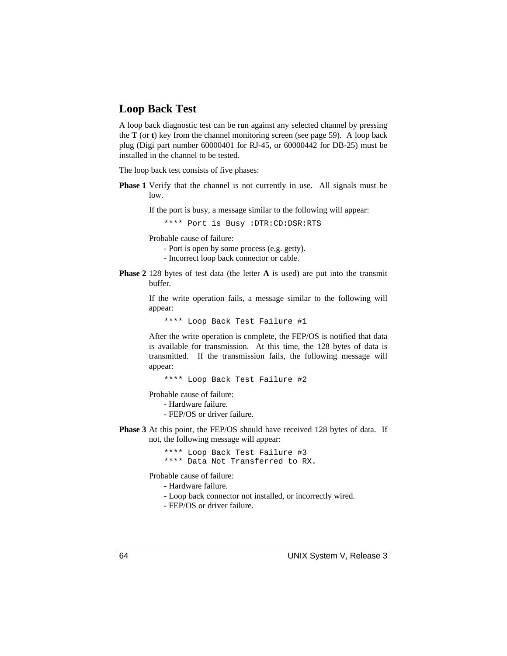### **Loop Back Test**

A loop back diagnostic test can be run against any selected channel by pressing the **T** (or **t**) key from the channel monitoring screen (see page 59). A loop back plug (Digi part number 60000401 for RJ-45, or 60000442 for DB-25) must be installed in the channel to be tested.

The loop back test consists of five phases:

**Phase 1** Verify that the channel is not currently in use. All signals must be low.

If the port is busy, a message similar to the following will appear:

\*\*\*\* Port is Busy :DTR:CD:DSR:RTS

Probable cause of failure:

- Port is open by some process (e.g. getty).
- Incorrect loop back connector or cable.
- **Phase 2** 128 bytes of test data (the letter **A** is used) are put into the transmit buffer.

If the write operation fails, a message similar to the following will appear:

\*\*\*\* Loop Back Test Failure #1

After the write operation is complete, the FEP/OS is notified that data is available for transmission. At this time, the 128 bytes of data is transmitted. If the transmission fails, the following message will appear:

\*\*\*\* Loop Back Test Failure #2

Probable cause of failure:

- Hardware failure.

- FEP/OS or driver failure.

**Phase 3** At this point, the FEP/OS should have received 128 bytes of data. If not, the following message will appear:

> \*\*\*\* Loop Back Test Failure #3 \*\*\*\* Data Not Transferred to RX.

Probable cause of failure:

- Hardware failure.

- Loop back connector not installed, or incorrectly wired.

- FEP/OS or driver failure.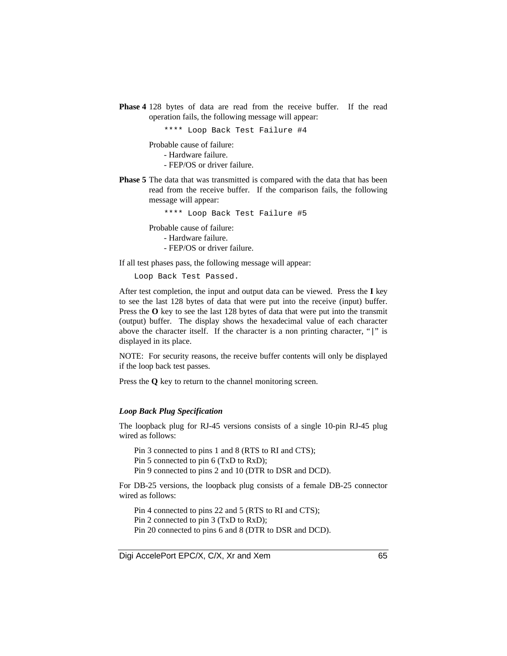**Phase 4** 128 bytes of data are read from the receive buffer. If the read operation fails, the following message will appear:

\*\*\*\* Loop Back Test Failure #4

Probable cause of failure:

- Hardware failure.

- FEP/OS or driver failure.

**Phase 5** The data that was transmitted is compared with the data that has been read from the receive buffer. If the comparison fails, the following message will appear:

\*\*\*\* Loop Back Test Failure #5

Probable cause of failure:

- Hardware failure.

- FEP/OS or driver failure.

If all test phases pass, the following message will appear:

Loop Back Test Passed.

After test completion, the input and output data can be viewed. Press the **I** key to see the last 128 bytes of data that were put into the receive (input) buffer. Press the O key to see the last 128 bytes of data that were put into the transmit (output) buffer. The display shows the hexadecimal value of each character above the character itself. If the character is a non printing character, "|" is displayed in its place.

NOTE: For security reasons, the receive buffer contents will only be displayed if the loop back test passes.

Press the **Q** key to return to the channel monitoring screen.

#### *Loop Back Plug Specification*

The loopback plug for RJ-45 versions consists of a single 10-pin RJ-45 plug wired as follows:

Pin 3 connected to pins 1 and 8 (RTS to RI and CTS);

Pin 5 connected to pin 6 (TxD to RxD);

Pin 9 connected to pins 2 and 10 (DTR to DSR and DCD).

For DB-25 versions, the loopback plug consists of a female DB-25 connector wired as follows:

Pin 4 connected to pins 22 and 5 (RTS to RI and CTS); Pin 2 connected to pin 3 (TxD to RxD); Pin 20 connected to pins 6 and 8 (DTR to DSR and DCD).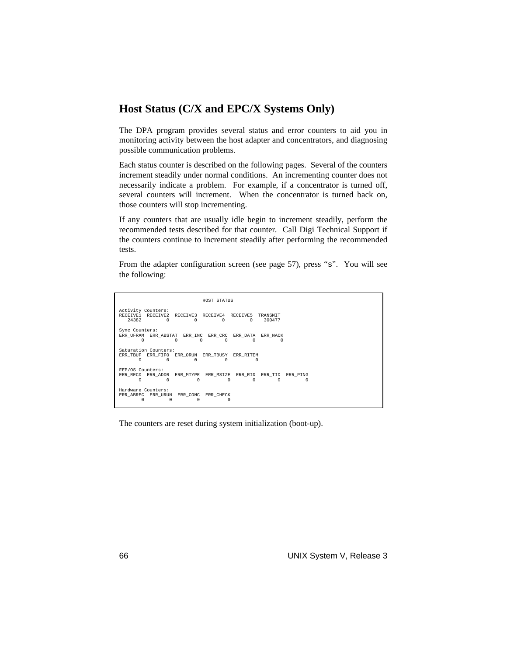### **Host Status (C/X and EPC/X Systems Only)**

The DPA program provides several status and error counters to aid you in monitoring activity between the host adapter and concentrators, and diagnosing possible communication problems.

Each status counter is described on the following pages. Several of the counters increment steadily under normal conditions. An incrementing counter does not necessarily indicate a problem. For example, if a concentrator is turned off, several counters will increment. When the concentrator is turned back on, those counters will stop incrementing.

If any counters that are usually idle begin to increment steadily, perform the recommended tests described for that counter. Call Digi Technical Support if the counters continue to increment steadily after performing the recommended tests.

From the adapter configuration screen (see page 57), press "s". You will see the following:

 HOST STATUS Activity Counters:<br>RECEIVE1 RECEIVE2 RECEIVE1 RECEIVE2 RECEIVE3 RECEIVE4 RECEIVE5 TRANSMIT<br>24382 0 0 0 0 300477 24382 0 0 0 0 300477 Counters: ERR\_UFRAM\_ERR\_ABSTAT\_ERR\_INC ERR\_CRC ERR\_DATA ERR\_NACK 0 0 0 0 0 0 Saturation Counters: ERR\_TBUF ERR\_FIFO ERR\_ORUN ERR\_TBUSY ERR\_RITEM 0 0 0 0 0 FEP/OS Counters:<br>ERR\_REC0 ERR\_ADDR ERR\_REC0 ERR\_ADDR ERR\_MTYPE ERR\_MSIZE ERR\_RID ERR\_TID ERR\_PING 0 0 0 0 0 0 0 Hardware Counters: ERR\_ABREC ERR\_URUN ERR\_CONC ERR\_CHECK 0 0 0 0

The counters are reset during system initialization (boot-up).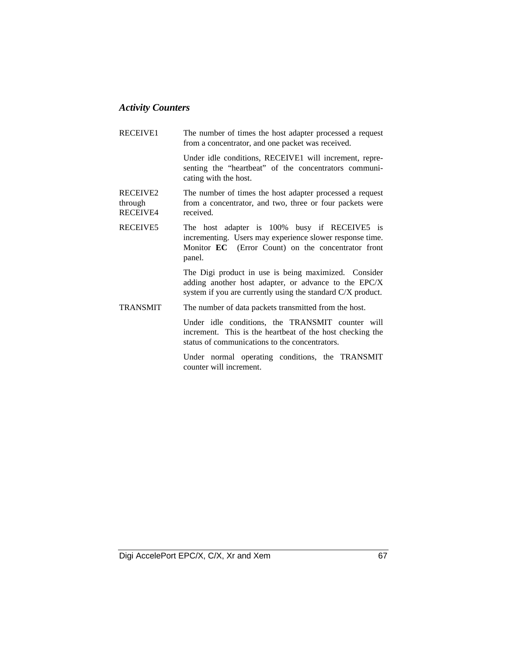### *Activity Counters*

RECEIVE1 The number of times the host adapter processed a request from a concentrator, and one packet was received. Under idle conditions, RECEIVE1 will increment, representing the "heartbeat" of the concentrators communicating with the host. RECEIVE2 through RECEIVE4 The number of times the host adapter processed a request from a concentrator, and two, three or four packets were received. RECEIVE5 The host adapter is 100% busy if RECEIVE5 is incrementing. Users may experience slower response time. Monitor **EC** (Error Count) on the concentrator front panel. The Digi product in use is being maximized. Consider adding another host adapter, or advance to the EPC/X system if you are currently using the standard C/X product. TRANSMIT The number of data packets transmitted from the host. Under idle conditions, the TRANSMIT counter will increment. This is the heartbeat of the host checking the status of communications to the concentrators. Under normal operating conditions, the TRANSMIT

counter will increment.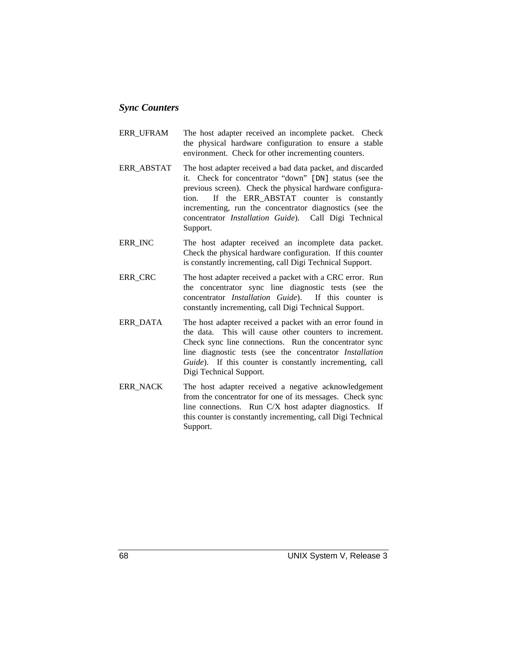### *Sync Counters*

- ERR\_UFRAM The host adapter received an incomplete packet. Check the physical hardware configuration to ensure a stable environment. Check for other incrementing counters.
- ERR\_ABSTAT The host adapter received a bad data packet, and discarded it. Check for concentrator "down" [DN] status (see the previous screen). Check the physical hardware configuration. If the ERR\_ABSTAT counter is constantly incrementing, run the concentrator diagnostics (see the concentrator *Installation Guide*). Call Digi Technical Support.
- ERR INC The host adapter received an incomplete data packet. Check the physical hardware configuration. If this counter is constantly incrementing, call Digi Technical Support.
- ERR\_CRC The host adapter received a packet with a CRC error. Run the concentrator sync line diagnostic tests (see the concentrator *Installation Guide*). If this counter is constantly incrementing, call Digi Technical Support.
- ERR\_DATA The host adapter received a packet with an error found in the data. This will cause other counters to increment. Check sync line connections. Run the concentrator sync line diagnostic tests (see the concentrator *Installation Guide*). If this counter is constantly incrementing, call Digi Technical Support.
- ERR\_NACK The host adapter received a negative acknowledgement from the concentrator for one of its messages. Check sync line connections. Run C/X host adapter diagnostics. If this counter is constantly incrementing, call Digi Technical Support.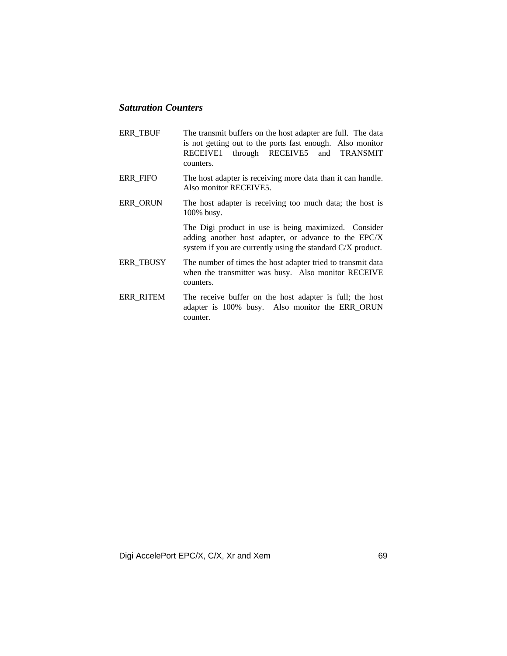### *Saturation Counters*

ERR\_TBUF The transmit buffers on the host adapter are full. The data is not getting out to the ports fast enough. Also monitor RECEIVE1 through RECEIVE5 and TRANSMIT counters. ERR\_FIFO The host adapter is receiving more data than it can handle. Also monitor RECEIVE5. ERR\_ORUN The host adapter is receiving too much data; the host is 100% busy. The Digi product in use is being maximized. Consider adding another host adapter, or advance to the EPC/X system if you are currently using the standard C/X product. ERR\_TBUSY The number of times the host adapter tried to transmit data when the transmitter was busy. Also monitor RECEIVE counters. ERR RITEM The receive buffer on the host adapter is full; the host adapter is 100% busy. Also monitor the ERR\_ORUN counter.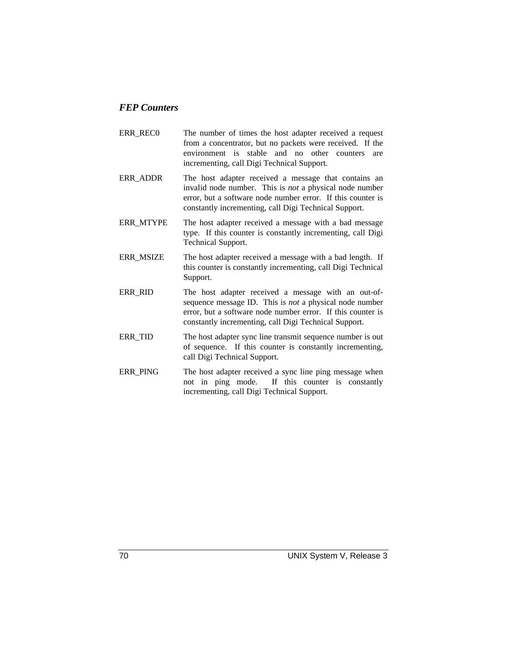### *FEP Counters*

- ERR REC0 The number of times the host adapter received a request from a concentrator, but no packets were received. If the environment is stable and no other counters are incrementing, call Digi Technical Support.
- ERR\_ADDR The host adapter received a message that contains an invalid node number. This is *not* a physical node number error, but a software node number error. If this counter is constantly incrementing, call Digi Technical Support.
- ERR\_MTYPE The host adapter received a message with a bad message type. If this counter is constantly incrementing, call Digi Technical Support.
- ERR MSIZE The host adapter received a message with a bad length. If this counter is constantly incrementing, call Digi Technical Support.
- ERR RID The host adapter received a message with an out-ofsequence message ID. This is *not* a physical node number error, but a software node number error. If this counter is constantly incrementing, call Digi Technical Support.
- ERR\_TID The host adapter sync line transmit sequence number is out of sequence. If this counter is constantly incrementing, call Digi Technical Support.
- ERR\_PING The host adapter received a sync line ping message when not in ping mode. If this counter is constantly incrementing, call Digi Technical Support.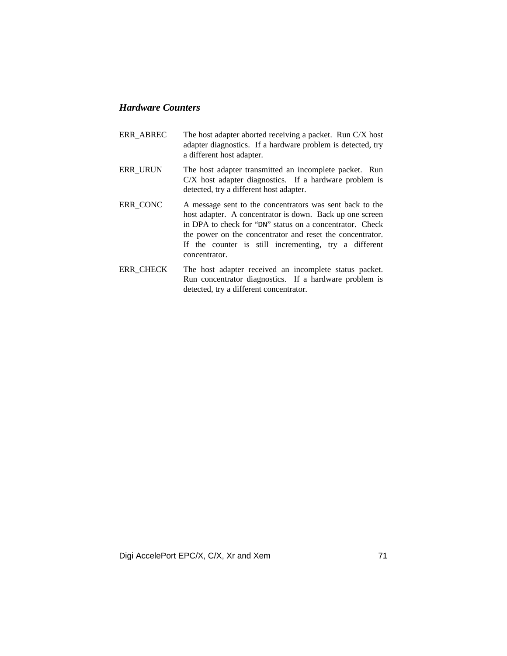### *Hardware Counters*

- ERR\_ABREC The host adapter aborted receiving a packet. Run C/X host adapter diagnostics. If a hardware problem is detected, try a different host adapter.
- ERR\_URUN The host adapter transmitted an incomplete packet. Run C/X host adapter diagnostics. If a hardware problem is detected, try a different host adapter.
- ERR\_CONC A message sent to the concentrators was sent back to the host adapter. A concentrator is down. Back up one screen in DPA to check for "DN" status on a concentrator. Check the power on the concentrator and reset the concentrator. If the counter is still incrementing, try a different concentrator.
- ERR\_CHECK The host adapter received an incomplete status packet. Run concentrator diagnostics. If a hardware problem is detected, try a different concentrator.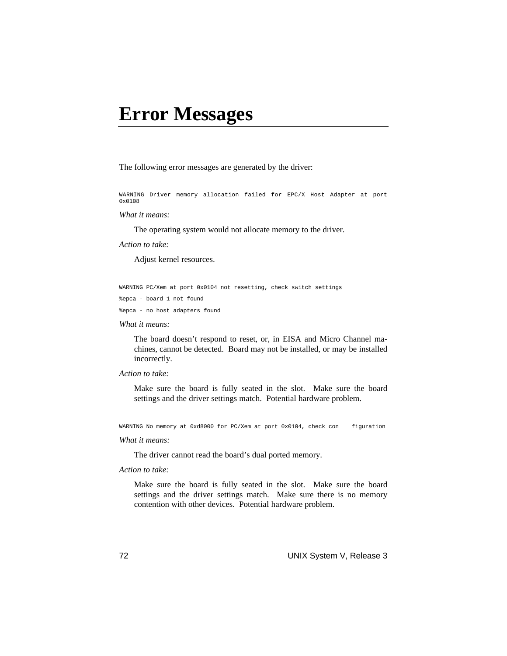# **Error Messages**

The following error messages are generated by the driver:

WARNING Driver memory allocation failed for EPC/X Host Adapter at port 0x0108

#### *What it means:*

The operating system would not allocate memory to the driver.

*Action to take:*

Adjust kernel resources.

WARNING PC/Xem at port 0x0104 not resetting, check switch settings

%epca - board 1 not found

%epca - no host adapters found

*What it means:*

The board doesn't respond to reset, or, in EISA and Micro Channel machines, cannot be detected. Board may not be installed, or may be installed incorrectly.

#### *Action to take:*

Make sure the board is fully seated in the slot. Make sure the board settings and the driver settings match. Potential hardware problem.

WARNING No memory at 0xd8000 for PC/Xem at port 0x0104, check con figuration

#### *What it means:*

The driver cannot read the board's dual ported memory.

#### *Action to take:*

Make sure the board is fully seated in the slot. Make sure the board settings and the driver settings match. Make sure there is no memory contention with other devices. Potential hardware problem.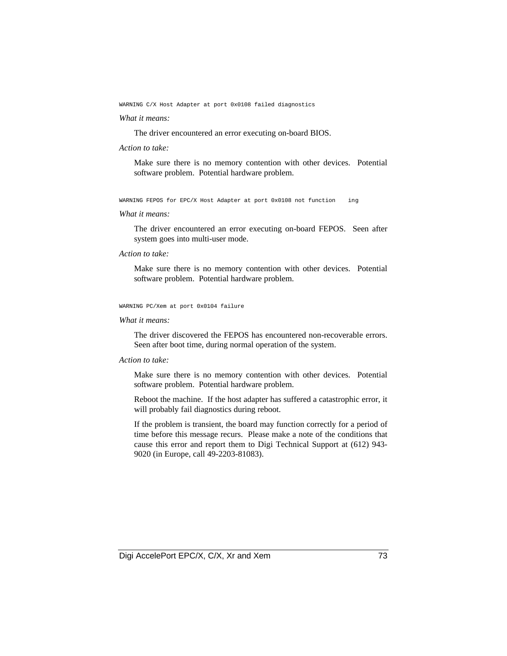WARNING C/X Host Adapter at port 0x0108 failed diagnostics

### *What it means:*

The driver encountered an error executing on-board BIOS.

#### *Action to take:*

Make sure there is no memory contention with other devices. Potential software problem. Potential hardware problem.

WARNING FEPOS for EPC/X Host Adapter at port 0x0108 not function ing

### *What it means:*

The driver encountered an error executing on-board FEPOS. Seen after system goes into multi-user mode.

### *Action to take:*

Make sure there is no memory contention with other devices. Potential software problem. Potential hardware problem.

### WARNING PC/Xem at port 0x0104 failure

### *What it means:*

The driver discovered the FEPOS has encountered non-recoverable errors. Seen after boot time, during normal operation of the system.

### *Action to take:*

Make sure there is no memory contention with other devices. Potential software problem. Potential hardware problem.

Reboot the machine. If the host adapter has suffered a catastrophic error, it will probably fail diagnostics during reboot.

If the problem is transient, the board may function correctly for a period of time before this message recurs. Please make a note of the conditions that cause this error and report them to Digi Technical Support at (612) 943- 9020 (in Europe, call 49-2203-81083).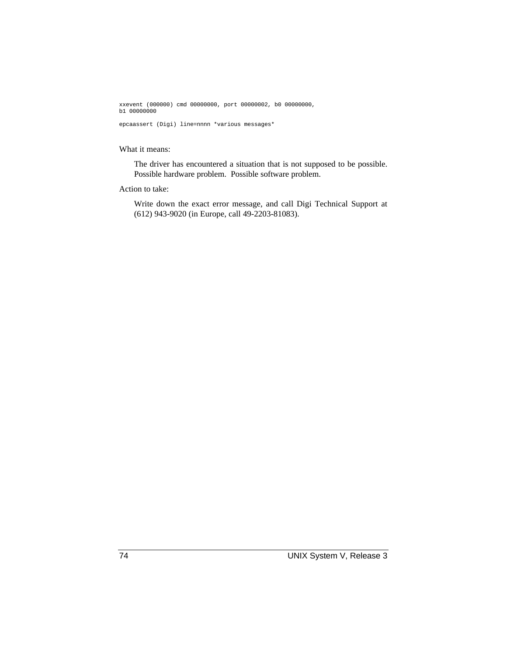xxevent (000000) cmd 00000000, port 00000002, b0 00000000, b1 00000000

epcaassert (Digi) line=nnnn \*various messages\*

### What it means:

The driver has encountered a situation that is not supposed to be possible. Possible hardware problem. Possible software problem.

### Action to take:

Write down the exact error message, and call Digi Technical Support at (612) 943-9020 (in Europe, call 49-2203-81083).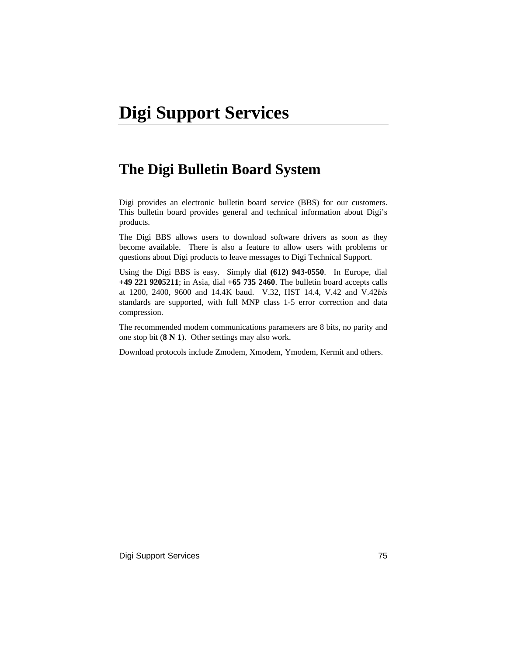# **The Digi Bulletin Board System**

Digi provides an electronic bulletin board service (BBS) for our customers. This bulletin board provides general and technical information about Digi's products.

The Digi BBS allows users to download software drivers as soon as they become available. There is also a feature to allow users with problems or questions about Digi products to leave messages to Digi Technical Support.

Using the Digi BBS is easy. Simply dial **(612) 943-0550**. In Europe, dial **+49 221 9205211**; in Asia, dial **+65 735 2460**. The bulletin board accepts calls at 1200, 2400, 9600 and 14.4K baud. V.32, HST 14.4, V.42 and V.42*bis* standards are supported, with full MNP class 1-5 error correction and data compression.

The recommended modem communications parameters are 8 bits, no parity and one stop bit (**8 N 1**). Other settings may also work.

Download protocols include Zmodem, Xmodem, Ymodem, Kermit and others.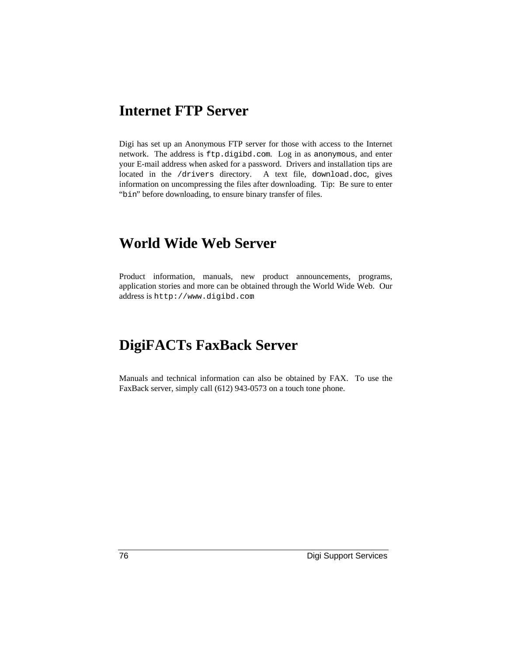# **Internet FTP Server**

Digi has set up an Anonymous FTP server for those with access to the Internet network. The address is ftp.digibd.com. Log in as anonymous, and enter your E-mail address when asked for a password. Drivers and installation tips are located in the /drivers directory. A text file, download.doc, gives information on uncompressing the files after downloading. Tip: Be sure to enter "bin" before downloading, to ensure binary transfer of files.

### **World Wide Web Server**

Product information, manuals, new product announcements, programs, application stories and more can be obtained through the World Wide Web. Our address is http://www.digibd.com.

# **DigiFACTs FaxBack Server**

Manuals and technical information can also be obtained by FAX. To use the FaxBack server, simply call (612) 943-0573 on a touch tone phone.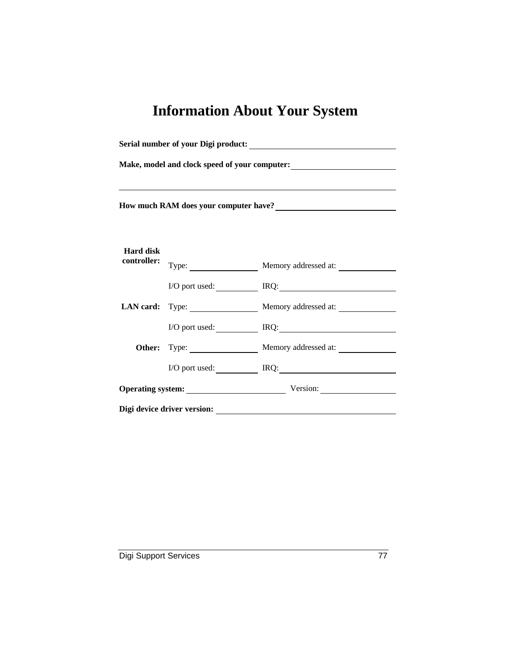# **Information About Your System**

| Make, model and clock speed of your computer:<br><u>Letter</u> and the speed of your computer:                                                                                                                                        |  |                                      |
|---------------------------------------------------------------------------------------------------------------------------------------------------------------------------------------------------------------------------------------|--|--------------------------------------|
|                                                                                                                                                                                                                                       |  |                                      |
| How much RAM does your computer have?<br><u>Letter and the substitute of the substitute of the substitute</u> of the substitute of the substitute of the substitute of the substitute of the substitute of the substitute of the subs |  |                                      |
|                                                                                                                                                                                                                                       |  |                                      |
| <b>Hard disk</b>                                                                                                                                                                                                                      |  |                                      |
| controller:                                                                                                                                                                                                                           |  | Type: Memory addressed at:           |
|                                                                                                                                                                                                                                       |  | I/O port used: IRQ: IRQ:             |
|                                                                                                                                                                                                                                       |  | LAN card: Type: Memory addressed at: |
|                                                                                                                                                                                                                                       |  | I/O port used: IRQ:                  |
|                                                                                                                                                                                                                                       |  | Other: Type: Memory addressed at:    |
|                                                                                                                                                                                                                                       |  | I/O port used: IRQ: IRQ:             |
|                                                                                                                                                                                                                                       |  | Operating system: Version:           |
|                                                                                                                                                                                                                                       |  |                                      |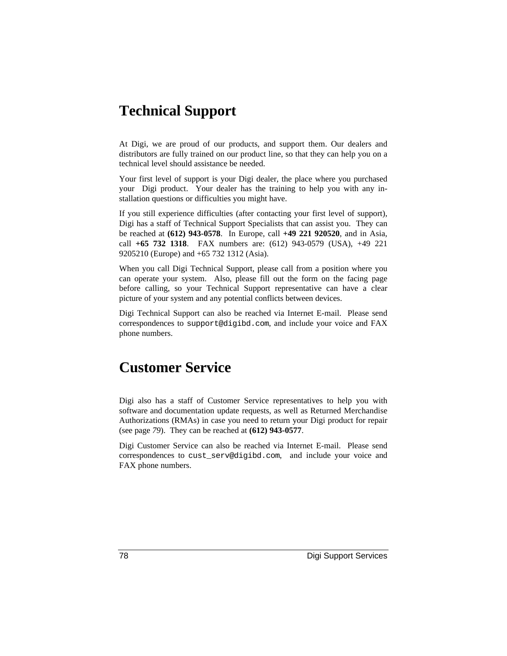# **Technical Support**

At Digi, we are proud of our products, and support them. Our dealers and distributors are fully trained on our product line, so that they can help you on a technical level should assistance be needed.

Your first level of support is your Digi dealer, the place where you purchased your Digi product. Your dealer has the training to help you with any installation questions or difficulties you might have.

If you still experience difficulties (after contacting your first level of support), Digi has a staff of Technical Support Specialists that can assist you. They can be reached at **(612) 943-0578**. In Europe, call **+49 221 920520**, and in Asia, call **+65 732 1318**. FAX numbers are: (612) 943-0579 (USA), +49 221 9205210 (Europe) and +65 732 1312 (Asia).

When you call Digi Technical Support, please call from a position where you can operate your system. Also, please fill out the form on the facing page before calling, so your Technical Support representative can have a clear picture of your system and any potential conflicts between devices.

Digi Technical Support can also be reached via Internet E-mail. Please send correspondences to support@digibd.com, and include your voice and FAX phone numbers.

# **Customer Service**

Digi also has a staff of Customer Service representatives to help you with software and documentation update requests, as well as Returned Merchandise Authorizations (RMAs) in case you need to return your Digi product for repair (see page *79*). They can be reached at **(612) 943-0577**.

Digi Customer Service can also be reached via Internet E-mail. Please send correspondences to cust\_serv@digibd.com, and include your voice and FAX phone numbers.